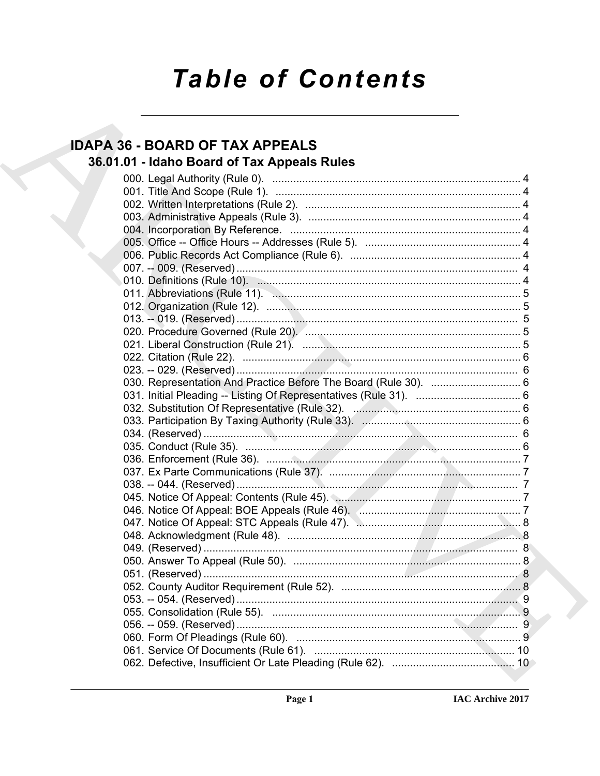# **Table of Contents**

# **IDAPA 36 - BOARD OF TAX APPEALS** 36.01.01 - Idaho Board of Tax Appeals Rules

| 045. Notice Of Appeal: Contents (Rule 45). 2006. 2010. 2010. 2010. 2011. 2012. 2014. 2016. 2017. 201 |
|------------------------------------------------------------------------------------------------------|
|                                                                                                      |
|                                                                                                      |
|                                                                                                      |
|                                                                                                      |
|                                                                                                      |
|                                                                                                      |
|                                                                                                      |
|                                                                                                      |
|                                                                                                      |
|                                                                                                      |
|                                                                                                      |
|                                                                                                      |
|                                                                                                      |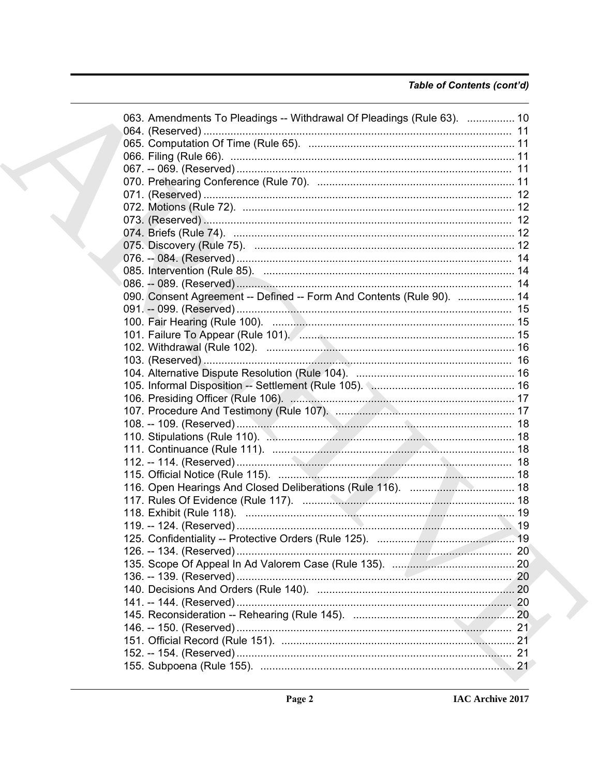## Table of Contents (cont'd)

|  | 063. Amendments To Pleadings -- Withdrawal Of Pleadings (Rule 63).  10 |  |
|--|------------------------------------------------------------------------|--|
|  |                                                                        |  |
|  |                                                                        |  |
|  |                                                                        |  |
|  |                                                                        |  |
|  |                                                                        |  |
|  |                                                                        |  |
|  |                                                                        |  |
|  |                                                                        |  |
|  |                                                                        |  |
|  |                                                                        |  |
|  |                                                                        |  |
|  |                                                                        |  |
|  |                                                                        |  |
|  | 090. Consent Agreement -- Defined -- Form And Contents (Rule 90).  14  |  |
|  |                                                                        |  |
|  |                                                                        |  |
|  |                                                                        |  |
|  |                                                                        |  |
|  |                                                                        |  |
|  |                                                                        |  |
|  |                                                                        |  |
|  |                                                                        |  |
|  |                                                                        |  |
|  |                                                                        |  |
|  |                                                                        |  |
|  |                                                                        |  |
|  |                                                                        |  |
|  |                                                                        |  |
|  |                                                                        |  |
|  |                                                                        |  |
|  |                                                                        |  |
|  |                                                                        |  |
|  |                                                                        |  |
|  |                                                                        |  |
|  |                                                                        |  |
|  |                                                                        |  |
|  |                                                                        |  |
|  |                                                                        |  |
|  |                                                                        |  |
|  |                                                                        |  |
|  |                                                                        |  |
|  |                                                                        |  |
|  |                                                                        |  |
|  |                                                                        |  |
|  |                                                                        |  |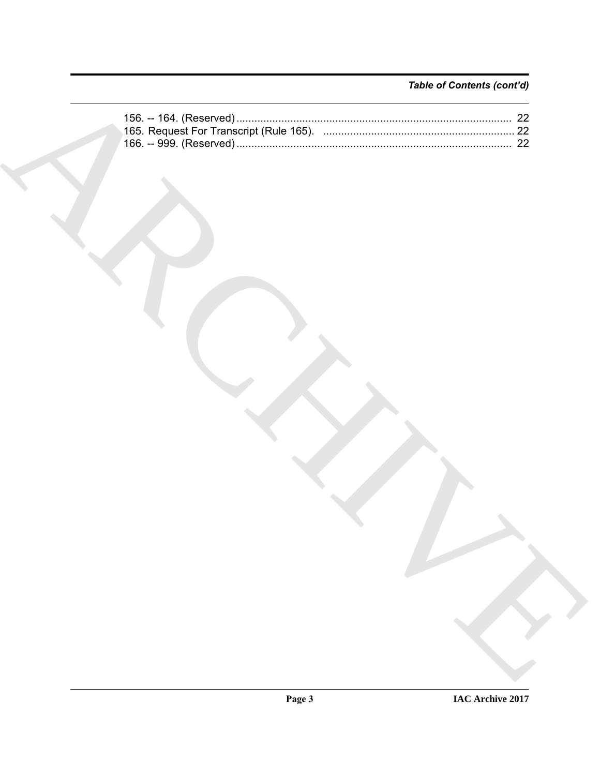## Table of Contents (cont'd)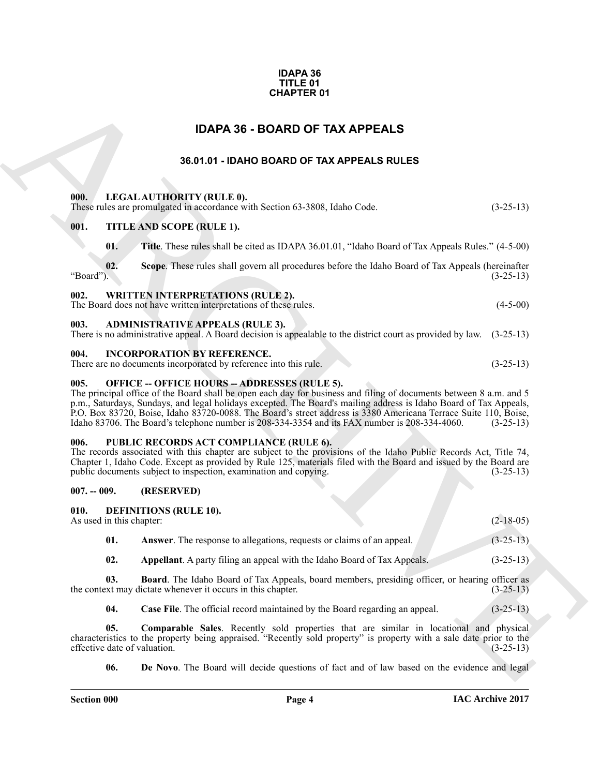#### **IDAPA 36 TITLE 01 CHAPTER 01**

# **IDAPA 36 - BOARD OF TAX APPEALS**

### <span id="page-3-4"></span><span id="page-3-3"></span><span id="page-3-2"></span>**36.01.01 - IDAHO BOARD OF TAX APPEALS RULES**

<span id="page-3-1"></span><span id="page-3-0"></span>

| <b>CHAPTER 01</b>                      |                                                                                                                                                                                                                                                                                                                                                                                                                                                                                                                     |             |  |  |
|----------------------------------------|---------------------------------------------------------------------------------------------------------------------------------------------------------------------------------------------------------------------------------------------------------------------------------------------------------------------------------------------------------------------------------------------------------------------------------------------------------------------------------------------------------------------|-------------|--|--|
| <b>IDAPA 36 - BOARD OF TAX APPEALS</b> |                                                                                                                                                                                                                                                                                                                                                                                                                                                                                                                     |             |  |  |
|                                        | 36.01.01 - IDAHO BOARD OF TAX APPEALS RULES                                                                                                                                                                                                                                                                                                                                                                                                                                                                         |             |  |  |
|                                        |                                                                                                                                                                                                                                                                                                                                                                                                                                                                                                                     |             |  |  |
| 000.                                   | LEGAL AUTHORITY (RULE 0).<br>These rules are promulgated in accordance with Section 63-3808, Idaho Code.                                                                                                                                                                                                                                                                                                                                                                                                            | $(3-25-13)$ |  |  |
| 001.                                   | TITLE AND SCOPE (RULE 1).                                                                                                                                                                                                                                                                                                                                                                                                                                                                                           |             |  |  |
| 01.                                    | Title. These rules shall be cited as IDAPA 36.01.01, "Idaho Board of Tax Appeals Rules." (4-5-00)                                                                                                                                                                                                                                                                                                                                                                                                                   |             |  |  |
| 02.<br>"Board").                       | Scope. These rules shall govern all procedures before the Idaho Board of Tax Appeals (hereinafter                                                                                                                                                                                                                                                                                                                                                                                                                   | $(3-25-13)$ |  |  |
| 002.                                   | <b>WRITTEN INTERPRETATIONS (RULE 2).</b><br>The Board does not have written interpretations of these rules.                                                                                                                                                                                                                                                                                                                                                                                                         | $(4-5-00)$  |  |  |
| 003.                                   | <b>ADMINISTRATIVE APPEALS (RULE 3).</b><br>There is no administrative appeal. A Board decision is appealable to the district court as provided by law. (3-25-13)                                                                                                                                                                                                                                                                                                                                                    |             |  |  |
| 004.                                   | <b>INCORPORATION BY REFERENCE.</b><br>There are no documents incorporated by reference into this rule.                                                                                                                                                                                                                                                                                                                                                                                                              | $(3-25-13)$ |  |  |
| 005.                                   | <b>OFFICE -- OFFICE HOURS -- ADDRESSES (RULE 5).</b><br>The principal office of the Board shall be open each day for business and filing of documents between 8 a.m. and 5<br>p.m., Saturdays, Sundays, and legal holidays excepted. The Board's mailing address is Idaho Board of Tax Appeals,<br>P.O. Box 83720, Boise, Idaho 83720-0088. The Board's street address is 3380 Americana Terrace Suite 110, Boise,<br>Idaho 83706. The Board's telephone number is 208-334-3354 and its FAX number is 208-334-4060. | $(3-25-13)$ |  |  |
| 006.                                   | PUBLIC RECORDS ACT COMPLIANCE (RULE 6).<br>The records associated with this chapter are subject to the provisions of the Idaho Public Records Act, Title 74,<br>Chapter 1, Idaho Code. Except as provided by Rule 125, materials filed with the Board and issued by the Board are<br>public documents subject to inspection, examination and copying.                                                                                                                                                               | $(3-25-13)$ |  |  |
| $007. - 009.$                          | (RESERVED)                                                                                                                                                                                                                                                                                                                                                                                                                                                                                                          |             |  |  |
| 010.<br>As used in this chapter:       | <b>DEFINITIONS (RULE 10).</b>                                                                                                                                                                                                                                                                                                                                                                                                                                                                                       | $(2-18-05)$ |  |  |
| 01.                                    | Answer. The response to allegations, requests or claims of an appeal.                                                                                                                                                                                                                                                                                                                                                                                                                                               | $(3-25-13)$ |  |  |
| 02.                                    | <b>Appellant</b> . A party filing an appeal with the Idaho Board of Tax Appeals.                                                                                                                                                                                                                                                                                                                                                                                                                                    | $(3-25-13)$ |  |  |
| 03.                                    | <b>Board</b> . The Idaho Board of Tax Appeals, board members, presiding officer, or hearing officer as<br>the context may dictate whenever it occurs in this chapter.                                                                                                                                                                                                                                                                                                                                               | $(3-25-13)$ |  |  |
| 04.                                    | Case File. The official record maintained by the Board regarding an appeal.                                                                                                                                                                                                                                                                                                                                                                                                                                         | $(3-25-13)$ |  |  |
| 05.<br>effective date of valuation.    | Comparable Sales. Recently sold properties that are similar in locational and physical<br>characteristics to the property being appraised. "Recently sold property" is property with a sale date prior to the                                                                                                                                                                                                                                                                                                       | $(3-25-13)$ |  |  |
| 06.                                    | <b>De Novo</b> . The Board will decide questions of fact and of law based on the evidence and legal                                                                                                                                                                                                                                                                                                                                                                                                                 |             |  |  |

#### <span id="page-3-9"></span><span id="page-3-8"></span><span id="page-3-7"></span><span id="page-3-6"></span><span id="page-3-5"></span>**007. -- 009. (RESERVED)**

<span id="page-3-11"></span><span id="page-3-10"></span>

| 010. | <b>DEFINITIONS (RULE 10).</b> |
|------|-------------------------------|
|------|-------------------------------|

<span id="page-3-17"></span><span id="page-3-16"></span><span id="page-3-15"></span><span id="page-3-14"></span><span id="page-3-13"></span><span id="page-3-12"></span>

| As used in this chapter: |                                                                              | $(2-18-05)$ |
|--------------------------|------------------------------------------------------------------------------|-------------|
| 01.                      | <b>Answer.</b> The response to allegations, requests or claims of an appeal. | $(3-25-13)$ |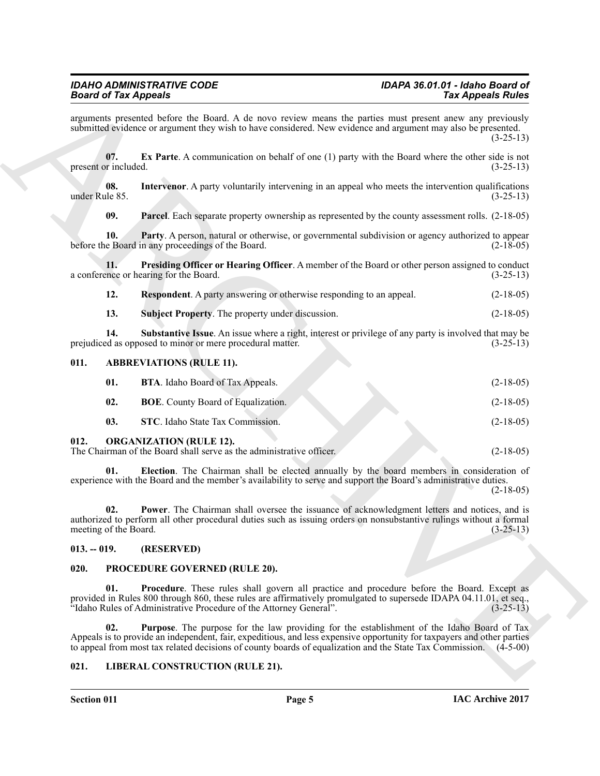#### <span id="page-4-13"></span><span id="page-4-12"></span><span id="page-4-11"></span><span id="page-4-10"></span><span id="page-4-9"></span>*IDAHO ADMINISTRATIVE CODE IDAPA 36.01.01 - Idaho Board of* **Board of Tax Appeals**

**Since of Fig. Applies the Use of A.** A three A. A three stress present the principal into the stress present term in the stress present of the stress present of the stress present of the stress present of the stress pres arguments presented before the Board. A de novo review means the parties must present anew any previously submitted evidence or argument they wish to have considered. New evidence and argument may also be presented. (3-25-13) **07. Ex Parte**. A communication on behalf of one (1) party with the Board where the other side is not included. (3-25-13) present or included. **08.** Intervenor. A party voluntarily intervening in an appeal who meets the intervention qualifications (1-25-13) under Rule 85. **09.** Parcel. Each separate property ownership as represented by the county assessment rolls.  $(2-18-05)$ **10. Party**. A person, natural or otherwise, or governmental subdivision or agency authorized to appear e Board in any proceedings of the Board. (2-18-05) before the Board in any proceedings of the Board. **11. Presiding Officer or Hearing Officer**. A member of the Board or other person assigned to conduct the Board. (3-25-13) a conference or hearing for the Board. **12. Respondent**. A party answering or otherwise responding to an appeal. (2-18-05) **13. Subject Property**. The property under discussion. (2-18-05) **14.** Substantive Issue. An issue where a right, interest or privilege of any party is involved that may be ed as opposed to minor or mere procedural matter. (3-25-13) prejudiced as opposed to minor or mere procedural matter. **011. ABBREVIATIONS (RULE 11). 01. BTA**. Idaho Board of Tax Appeals. (2-18-05) **02. BOE**. County Board of Equalization. (2-18-05) **03. STC**. Idaho State Tax Commission. (2-18-05) **012. ORGANIZATION (RULE 12).** The Chairman of the Board shall serve as the administrative officer. (2-18-05)

<span id="page-4-19"></span><span id="page-4-18"></span><span id="page-4-16"></span><span id="page-4-15"></span><span id="page-4-14"></span><span id="page-4-8"></span><span id="page-4-7"></span><span id="page-4-6"></span><span id="page-4-5"></span><span id="page-4-1"></span><span id="page-4-0"></span>**01. Election**. The Chairman shall be elected annually by the board members in consideration of experience with the Board and the member's availability to serve and support the Board's administrative duties.  $(2-18-05)$ 

<span id="page-4-20"></span>**02. Power**. The Chairman shall oversee the issuance of acknowledgment letters and notices, and is authorized to perform all other procedural duties such as issuing orders on nonsubstantive rulings without a formal meeting of the Board. (3-25-13)

#### <span id="page-4-2"></span>**013. -- 019. (RESERVED)**

#### <span id="page-4-21"></span><span id="page-4-3"></span>**020. PROCEDURE GOVERNED (RULE 20).**

<span id="page-4-22"></span>**01. Procedure**. These rules shall govern all practice and procedure before the Board. Except as provided in Rules 800 through 860, these rules are affirmatively promulgated to supersede IDAPA 04.11.01, et seq., <br>
"Idaho Rules of Administrative Procedure of the Attorney General". (3-25-13) "Idaho Rules of Administrative Procedure of the Attorney General".

<span id="page-4-23"></span>**02. Purpose**. The purpose for the law providing for the establishment of the Idaho Board of Tax Appeals is to provide an independent, fair, expeditious, and less expensive opportunity for taxpayers and other parties to appeal from most tax related decisions of county boards of equalization and the State Tax Commission. (4-5-00)

#### <span id="page-4-17"></span><span id="page-4-4"></span>**021. LIBERAL CONSTRUCTION (RULE 21).**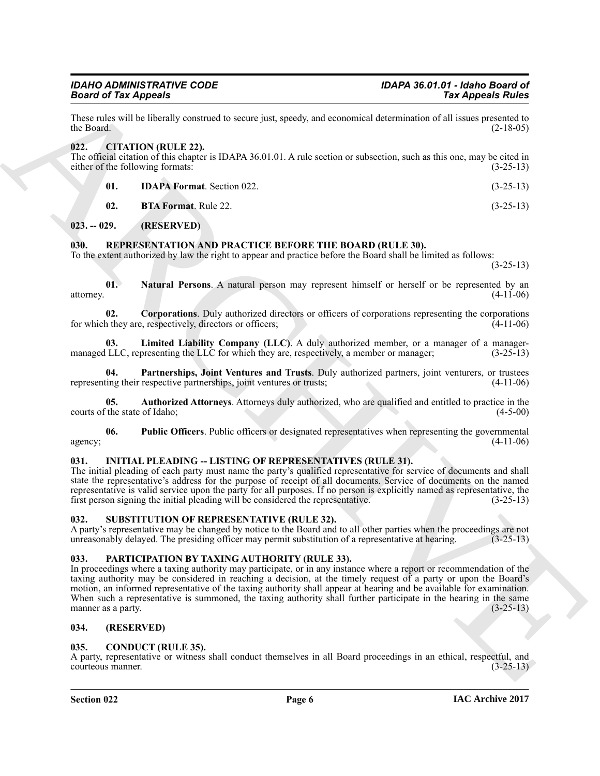These rules will be liberally construed to secure just, speedy, and economical determination of all issues presented to the Board.  $(2-18-05)$ 

#### <span id="page-5-8"></span><span id="page-5-0"></span>**022. CITATION (RULE 22).**

The official citation of this chapter is IDAPA 36.01.01. A rule section or subsection, such as this one, may be cited in either of the following formats: (3-25-13)

- <span id="page-5-10"></span><span id="page-5-9"></span>**01. IDAPA Format**. Section 022. (3-25-13)
	- **02. BTA Format**. Rule 22. (3-25-13)

<span id="page-5-1"></span>**023. -- 029. (RESERVED)**

#### <span id="page-5-2"></span>**030. REPRESENTATION AND PRACTICE BEFORE THE BOARD (RULE 30).**

To the extent authorized by law the right to appear and practice before the Board shall be limited as follows:

<span id="page-5-18"></span><span id="page-5-16"></span><span id="page-5-14"></span> $(3-25-13)$ 

**01. Natural Persons**. A natural person may represent himself or herself or be represented by an attorney. (4-11-06)

**02. Corporations**. Duly authorized directors or officers of corporations representing the corporations they are, respectively, directors or officers; for which they are, respectively, directors or officers;

<span id="page-5-17"></span>**03. Limited Liability Company (LLC)**. A duly authorized member, or a manager of a managermanaged LLC, representing the LLC for which they are, respectively, a member or manager; (3-25-13)

<span id="page-5-19"></span>**04. Partnerships, Joint Ventures and Trusts**. Duly authorized partners, joint venturers, or trustees representing their respective partnerships, joint ventures or trusts; (4-11-06)

<span id="page-5-15"></span>**05. Authorized Attorneys**. Attorneys duly authorized, who are qualified and entitled to practice in the the state of Idaho; (4-5-00) courts of the state of Idaho:

<span id="page-5-20"></span>**06. Public Officers**. Public officers or designated representatives when representing the governmental agency;  $(4-11-06)$ 

#### <span id="page-5-12"></span><span id="page-5-3"></span>**031. INITIAL PLEADING -- LISTING OF REPRESENTATIVES (RULE 31).**

The initial pleading of each party must name the party's qualified representative for service of documents and shall state the representative's address for the purpose of receipt of all documents. Service of documents on the named representative is valid service upon the party for all purposes. If no person is explicitly named as representative, the first person signing the initial pleading will be considered the representative. (3-25-13) first person signing the initial pleading will be considered the representative.

#### <span id="page-5-22"></span><span id="page-5-21"></span><span id="page-5-4"></span>**032. SUBSTITUTION OF REPRESENTATIVE (RULE 32).**

A party's representative may be changed by notice to the Board and to all other parties when the proceedings are not unreasonably delayed. The presiding officer may permit substitution of a representative at hearing. (3-25 unreasonably delayed. The presiding officer may permit substitution of a representative at hearing.

#### <span id="page-5-13"></span><span id="page-5-5"></span>**033. PARTICIPATION BY TAXING AUTHORITY (RULE 33).**

**SECURE A APROPRIATE SECURE AND MANUSCRIPS (CONSUMIRATION CONSUMIRATION CONSUMIRATION CONSUMIRATION CONSULTING (EXC.)**<br> **ARCHIVE AND INSTEAD AND MANUSCRIPS (CONSULTING)**<br> **ARCHIVE AND MANUSCRIPS (CONSULTING)**<br> **ARCHIVE AN** In proceedings where a taxing authority may participate, or in any instance where a report or recommendation of the taxing authority may be considered in reaching a decision, at the timely request of a party or upon the Board's motion, an informed representative of the taxing authority shall appear at hearing and be available for examination. When such a representative is summoned, the taxing authority shall further participate in the hearing in the same manner as a party.  $(3-25-13)$ manner as a party.

#### <span id="page-5-6"></span>**034. (RESERVED)**

#### <span id="page-5-11"></span><span id="page-5-7"></span>**035. CONDUCT (RULE 35).**

A party, representative or witness shall conduct themselves in all Board proceedings in an ethical, respectful, and courteous manner. (3-25-13) courteous manner.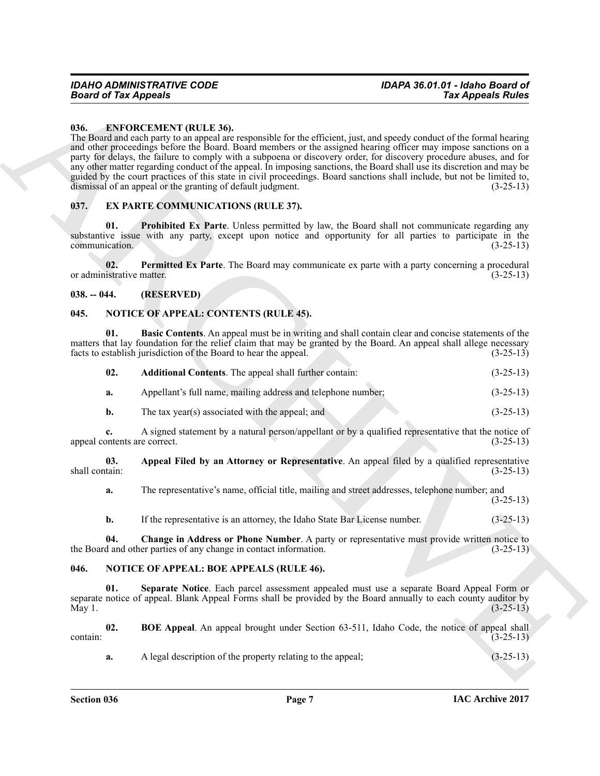#### <span id="page-6-5"></span><span id="page-6-0"></span>**036. ENFORCEMENT (RULE 36).**

**Foot of Tax Appears Are constructed** the second of the second of the second of the second of the second of the second of the second of the second of the second of the second of the second of the second of the second of t The Board and each party to an appeal are responsible for the efficient, just, and speedy conduct of the formal hearing and other proceedings before the Board. Board members or the assigned hearing officer may impose sanctions on a party for delays, the failure to comply with a subpoena or discovery order, for discovery procedure abuses, and for any other matter regarding conduct of the appeal. In imposing sanctions, the Board shall use its discretion and may be guided by the court practices of this state in civil proceedings. Board sanctions shall include, but not be limited to, dismissal of an appeal or the granting of default judgment. (3-25-13)

#### <span id="page-6-6"></span><span id="page-6-1"></span>**037. EX PARTE COMMUNICATIONS (RULE 37).**

<span id="page-6-8"></span>**Prohibited Ex Parte**. Unless permitted by law, the Board shall not communicate regarding any substantive issue with any party, except upon notice and opportunity for all parties to participate in the communication. (3-25-13) communication.

<span id="page-6-7"></span>**02.** Permitted Ex Parte. The Board may communicate ex parte with a party concerning a procedural istrative matter. (3-25-13) or administrative matter.

#### <span id="page-6-2"></span>**038. -- 044. (RESERVED)**

#### <span id="page-6-12"></span><span id="page-6-3"></span>**045. NOTICE OF APPEAL: CONTENTS (RULE 45).**

**01. Basic Contents**. An appeal must be in writing and shall contain clear and concise statements of the matters that lay foundation for the relief claim that may be granted by the Board. An appeal shall allege necessary facts to establish jurisdiction of the Board to hear the appeal. (3-25-13)

<span id="page-6-15"></span><span id="page-6-13"></span>

| 02. | <b>Additional Contents.</b> The appeal shall further contain: | $(3-25-13)$ |
|-----|---------------------------------------------------------------|-------------|
| a.  | Appellant's full name, mailing address and telephone number;  | $(3-25-13)$ |

**b.** The tax year(s) associated with the appeal; and (3-25-13)

**c.** A signed statement by a natural person/appellant or by a qualified representative that the notice of appeal contents are correct. (3-25-13)

**03.** Appeal Filed by an Attorney or Representative. An appeal filed by a qualified representative shall contain:  $(3-25-13)$ shall contain: (3-25-13)

<span id="page-6-14"></span>**a.** The representative's name, official title, mailing and street addresses, telephone number; and (3-25-13)

<span id="page-6-16"></span><span id="page-6-11"></span>**b.** If the representative is an attorney, the Idaho State Bar License number. (3-25-13)

**04.** Change in Address or Phone Number. A party or representative must provide written notice to d and other parties of any change in contact information. (3-25-13) the Board and other parties of any change in contact information.

#### <span id="page-6-9"></span><span id="page-6-4"></span>**046. NOTICE OF APPEAL: BOE APPEALS (RULE 46).**

**01. Separate Notice**. Each parcel assessment appealed must use a separate Board Appeal Form or separate notice of appeal. Blank Appeal Forms shall be provided by the Board annually to each county auditor by<br>(3-25-13) May 1.  $(3-25-13)$ 

**02. BOE Appeal**. An appeal brought under Section 63-511, Idaho Code, the notice of appeal shall  $\frac{(3-25-13)}{ }$ 

<span id="page-6-10"></span>**a.** A legal description of the property relating to the appeal;  $(3-25-13)$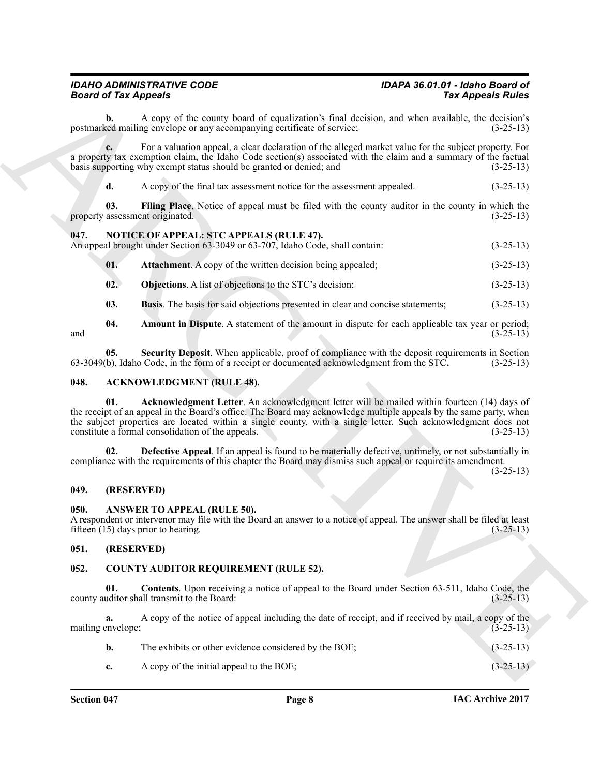#### *IDAHO ADMINISTRATIVE CODE IDAPA 36.01.01 - Idaho Board of* **Board of Tax Appeals**

**b.** A copy of the county board of equalization's final decision, and when available, the decision's red mailing envelope or any accompanying certificate of service: (3-25-13) postmarked mailing envelope or any accompanying certificate of service;

**c.** For a valuation appeal, a clear declaration of the alleged market value for the subject property. For a property tax exemption claim, the Idaho Code section(s) associated with the claim and a summary of the factual basis supporting why exempt status should be granted or denied; and (3-25-13)

<span id="page-7-12"></span>**d.** A copy of the final tax assessment notice for the assessment appealed.  $(3-25-13)$ 

**03.** Filing Place. Notice of appeal must be filed with the county auditor in the county in which the assessment originated.  $(3-25-13)$ property assessment originated.

#### <span id="page-7-13"></span><span id="page-7-0"></span>**047. NOTICE OF APPEAL: STC APPEALS (RULE 47).**

An appeal brought under Section 63-3049 or 63-707, Idaho Code, shall contain: (3-25-13)

- <span id="page-7-15"></span>**01. Attachment**. A copy of the written decision being appealed; (3-25-13)
- <span id="page-7-17"></span>**02. Objections**. A list of objections to the STC's decision; (3-25-13)
- <span id="page-7-18"></span><span id="page-7-16"></span><span id="page-7-14"></span>**03. Basis**. The basis for said objections presented in clear and concise statements; (3-25-13)

**04.** Amount in Dispute. A statement of the amount in dispute for each applicable tax year or period;<br>(3-25-13) and  $(3-25-13)$ 

**05.** Security Deposit. When applicable, proof of compliance with the deposit requirements in Section b), Idaho Code, in the form of a receipt or documented acknowledgment from the STC. (3-25-13) 63-3049(b), Idaho Code, in the form of a receipt or documented acknowledgment from the STC.

#### <span id="page-7-7"></span><span id="page-7-6"></span><span id="page-7-1"></span>**048. ACKNOWLEDGMENT (RULE 48).**

**Board of Tax Appears** 2.<br> **For Appears 2.** The connect bead of systemative's first decays and the systemative's point of the connect of the connect system and the system of the connect of the connect of the connect of th **01. Acknowledgment Letter**. An acknowledgment letter will be mailed within fourteen (14) days of the receipt of an appeal in the Board's office. The Board may acknowledge multiple appeals by the same party, when the subject properties are located within a single county, with a single letter. Such acknowledgment does not constitute a formal consolidation of the appeals. (3-25-13)

<span id="page-7-8"></span>**02. Defective Appeal**. If an appeal is found to be materially defective, untimely, or not substantially in compliance with the requirements of this chapter the Board may dismiss such appeal or require its amendment.

 $(3-25-13)$ 

#### <span id="page-7-2"></span>**049. (RESERVED)**

#### <span id="page-7-9"></span><span id="page-7-3"></span>**050. ANSWER TO APPEAL (RULE 50).**

A respondent or intervenor may file with the Board an answer to a notice of appeal. The answer shall be filed at least fifteen (15) days prior to hearing. (3-25-13)

#### <span id="page-7-4"></span>**051. (RESERVED)**

#### <span id="page-7-10"></span><span id="page-7-5"></span>**052. COUNTY AUDITOR REQUIREMENT (RULE 52).**

<span id="page-7-11"></span>**01. Contents**. Upon receiving a notice of appeal to the Board under Section 63-511, Idaho Code, the uditor shall transmit to the Board: (3-25-13) county auditor shall transmit to the Board:

**a.** A copy of the notice of appeal including the date of receipt, and if received by mail, a copy of the envelope: mailing envelope;

| The exhibits or other evidence considered by the BOE: | $(3-25-13)$ |
|-------------------------------------------------------|-------------|
| A copy of the initial appeal to the BOE;              | $(3-25-13)$ |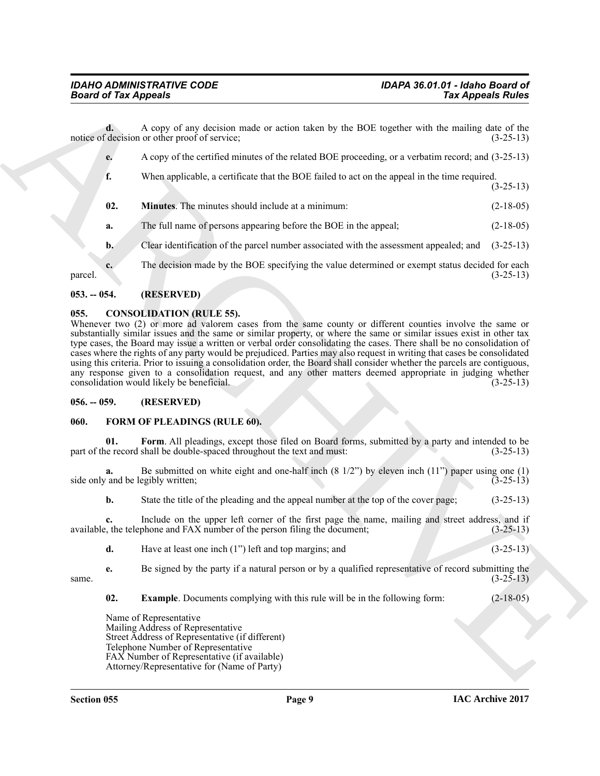|                | <b>Board of Tax Appeals</b>                                                                                                                                                                                                                                                                                                                                                                                                                                                                                                                                                                                                                                                                                                                                                                                      | <b>Tax Appeals Rules</b> |
|----------------|------------------------------------------------------------------------------------------------------------------------------------------------------------------------------------------------------------------------------------------------------------------------------------------------------------------------------------------------------------------------------------------------------------------------------------------------------------------------------------------------------------------------------------------------------------------------------------------------------------------------------------------------------------------------------------------------------------------------------------------------------------------------------------------------------------------|--------------------------|
| d.             | A copy of any decision made or action taken by the BOE together with the mailing date of the<br>notice of decision or other proof of service;                                                                                                                                                                                                                                                                                                                                                                                                                                                                                                                                                                                                                                                                    | $(3-25-13)$              |
| е.             | A copy of the certified minutes of the related BOE proceeding, or a verbatim record; and (3-25-13)                                                                                                                                                                                                                                                                                                                                                                                                                                                                                                                                                                                                                                                                                                               |                          |
| f.             | When applicable, a certificate that the BOE failed to act on the appeal in the time required.                                                                                                                                                                                                                                                                                                                                                                                                                                                                                                                                                                                                                                                                                                                    | $(3-25-13)$              |
| 02.            | Minutes. The minutes should include at a minimum:                                                                                                                                                                                                                                                                                                                                                                                                                                                                                                                                                                                                                                                                                                                                                                | $(2-18-05)$              |
| a.             | The full name of persons appearing before the BOE in the appeal;                                                                                                                                                                                                                                                                                                                                                                                                                                                                                                                                                                                                                                                                                                                                                 | $(2-18-05)$              |
| $\mathbf{b}$ . | Clear identification of the parcel number associated with the assessment appealed; and                                                                                                                                                                                                                                                                                                                                                                                                                                                                                                                                                                                                                                                                                                                           | $(3-25-13)$              |
| c.<br>parcel.  | The decision made by the BOE specifying the value determined or exempt status decided for each                                                                                                                                                                                                                                                                                                                                                                                                                                                                                                                                                                                                                                                                                                                   | $(3-25-13)$              |
| $053. - 054.$  | (RESERVED)                                                                                                                                                                                                                                                                                                                                                                                                                                                                                                                                                                                                                                                                                                                                                                                                       |                          |
| 055.           | <b>CONSOLIDATION (RULE 55).</b><br>Whenever two (2) or more ad valorem cases from the same county or different counties involve the same or<br>substantially similar issues and the same or similar property, or where the same or similar issues exist in other tax<br>type cases, the Board may issue a written or verbal order consolidating the cases. There shall be no consolidation of<br>cases where the rights of any party would be prejudiced. Parties may also request in writing that cases be consolidated<br>using this criteria. Prior to issuing a consolidation order, the Board shall consider whether the parcels are contiguous,<br>any response given to a consolidation request, and any other matters deemed appropriate in judging whether<br>consolidation would likely be beneficial. | $(3-25-13)$              |
| $056. - 059.$  | (RESERVED)                                                                                                                                                                                                                                                                                                                                                                                                                                                                                                                                                                                                                                                                                                                                                                                                       |                          |
| 060.           | FORM OF PLEADINGS (RULE 60).                                                                                                                                                                                                                                                                                                                                                                                                                                                                                                                                                                                                                                                                                                                                                                                     |                          |
| 01.            | Form. All pleadings, except those filed on Board forms, submitted by a party and intended to be<br>part of the record shall be double-spaced throughout the text and must:                                                                                                                                                                                                                                                                                                                                                                                                                                                                                                                                                                                                                                       | $(3-25-13)$              |
| a.             | Be submitted on white eight and one-half inch $(8\ 1/2)$ by eleven inch $(11)$ <sup>"</sup> paper using one $(1)$<br>side only and be legibly written;                                                                                                                                                                                                                                                                                                                                                                                                                                                                                                                                                                                                                                                           | $(3-25-13)$              |
| b.             | State the title of the pleading and the appeal number at the top of the cover page;                                                                                                                                                                                                                                                                                                                                                                                                                                                                                                                                                                                                                                                                                                                              | $(3-25-13)$              |
| c.             | Include on the upper left corner of the first page the name, mailing and street address, and if<br>available, the telephone and FAX number of the person filing the document;                                                                                                                                                                                                                                                                                                                                                                                                                                                                                                                                                                                                                                    | $(3-25-13)$              |
|                | Have at least one inch (1") left and top margins; and                                                                                                                                                                                                                                                                                                                                                                                                                                                                                                                                                                                                                                                                                                                                                            | $(3-25-13)$              |
| d.             |                                                                                                                                                                                                                                                                                                                                                                                                                                                                                                                                                                                                                                                                                                                                                                                                                  |                          |
| e.<br>same.    | Be signed by the party if a natural person or by a qualified representative of record submitting the                                                                                                                                                                                                                                                                                                                                                                                                                                                                                                                                                                                                                                                                                                             | $(3-25-13)$              |
| 02.            | <b>Example.</b> Documents complying with this rule will be in the following form:                                                                                                                                                                                                                                                                                                                                                                                                                                                                                                                                                                                                                                                                                                                                | $(2-18-05)$              |

#### <span id="page-8-5"></span><span id="page-8-4"></span><span id="page-8-1"></span><span id="page-8-0"></span>**055. CONSOLIDATION (RULE 55).**

#### <span id="page-8-2"></span>**056. -- 059. (RESERVED)**

#### <span id="page-8-8"></span><span id="page-8-7"></span><span id="page-8-6"></span><span id="page-8-3"></span>**060. FORM OF PLEADINGS (RULE 60).**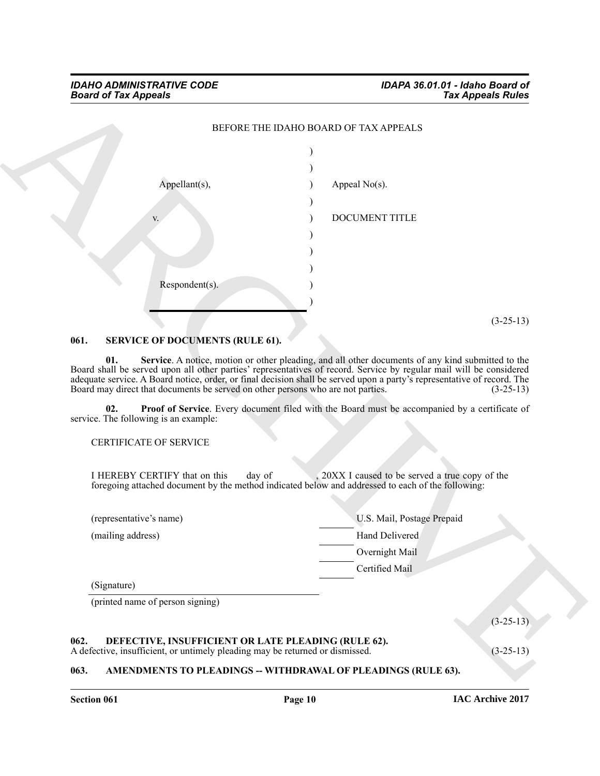

#### <span id="page-9-5"></span><span id="page-9-0"></span>**061. SERVICE OF DOCUMENTS (RULE 61).**

<span id="page-9-7"></span>**01. Service**. A notice, motion or other pleading, and all other documents of any kind submitted to the Board shall be served upon all other parties' representatives of record. Service by regular mail will be considered adequate service. A Board notice, order, or final decision shall be served upon a party's representative of record. The Board may direct that documents be served on other persons who are not parties. (3-25-13) Board may direct that documents be served on other persons who are not parties.

**02. Proof of Service**. Every document filed with the Board must be accompanied by a certificate of service. The following is an example:

<span id="page-9-6"></span>CERTIFICATE OF SERVICE

I HEREBY CERTIFY that on this day of , 20XX I caused to be served a true copy of the foregoing attached document by the method indicated below and addressed to each of the following:

| U.S. Mail, Postage Prepaid<br>(representative's name) |                |  |
|-------------------------------------------------------|----------------|--|
| (mailing address)                                     | Hand Delivered |  |
|                                                       | Overnight Mail |  |
|                                                       | Certified Mail |  |
| (Signature)                                           |                |  |

<span id="page-9-4"></span>(printed name of person signing)

### <span id="page-9-1"></span>**062. DEFECTIVE, INSUFFICIENT OR LATE PLEADING (RULE 62).**

A defective, insufficient, or untimely pleading may be returned or dismissed. (3-25-13)

### <span id="page-9-3"></span><span id="page-9-2"></span>**063. AMENDMENTS TO PLEADINGS -- WITHDRAWAL OF PLEADINGS (RULE 63).**

(3-25-13)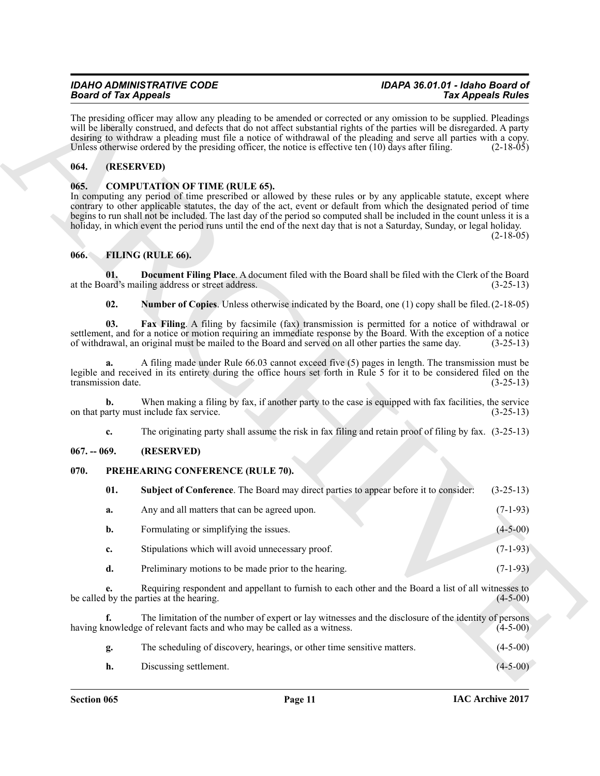# *Board of Tax Appeals*

# *IDAHO ADMINISTRATIVE CODE IDAPA 36.01.01 - Idaho Board of*

#### <span id="page-10-0"></span>**064. (RESERVED)**

#### <span id="page-10-5"></span><span id="page-10-1"></span>**065. COMPUTATION OF TIME (RULE 65).**

#### <span id="page-10-9"></span><span id="page-10-8"></span><span id="page-10-7"></span><span id="page-10-6"></span><span id="page-10-2"></span>**066. FILING (RULE 66).**

#### <span id="page-10-3"></span>**067. -- 069. (RESERVED)**

#### <span id="page-10-11"></span><span id="page-10-10"></span><span id="page-10-4"></span>**070. PREHEARING CONFERENCE (RULE 70).**

|               | <b>Board of Tax Appeals</b> |                                                                                                                                                                                                                                                                                                                                                                                                                                                                                                                                          | <b>Tax Appeals Rules</b> |
|---------------|-----------------------------|------------------------------------------------------------------------------------------------------------------------------------------------------------------------------------------------------------------------------------------------------------------------------------------------------------------------------------------------------------------------------------------------------------------------------------------------------------------------------------------------------------------------------------------|--------------------------|
|               |                             | The presiding officer may allow any pleading to be amended or corrected or any omission to be supplied. Pleadings<br>will be liberally construed, and defects that do not affect substantial rights of the parties will be disregarded. A party<br>desiring to withdraw a pleading must file a notice of withdrawal of the pleading and serve all parties with a copy.<br>Unless otherwise ordered by the presiding officer, the notice is effective ten $(10)$ days after filing.                                                       | $(2-18-05)$              |
| 064.          | (RESERVED)                  |                                                                                                                                                                                                                                                                                                                                                                                                                                                                                                                                          |                          |
| 065.          |                             | <b>COMPUTATION OF TIME (RULE 65).</b><br>In computing any period of time prescribed or allowed by these rules or by any applicable statute, except where<br>contrary to other applicable statutes, the day of the act, event or default from which the designated period of time<br>begins to run shall not be included. The last day of the period so computed shall be included in the count unless it is a<br>holiday, in which event the period runs until the end of the next day that is not a Saturday, Sunday, or legal holiday. | $(2-18-05)$              |
| 066.          |                             | FILING (RULE 66).                                                                                                                                                                                                                                                                                                                                                                                                                                                                                                                        |                          |
|               | 01.                         | Document Filing Place. A document filed with the Board shall be filed with the Clerk of the Board<br>at the Board's mailing address or street address.                                                                                                                                                                                                                                                                                                                                                                                   | $(3-25-13)$              |
|               | 02.                         | <b>Number of Copies.</b> Unless otherwise indicated by the Board, one (1) copy shall be filed. (2-18-05)                                                                                                                                                                                                                                                                                                                                                                                                                                 |                          |
|               | 03.                         | Fax Filing. A filing by facsimile (fax) transmission is permitted for a notice of withdrawal or<br>settlement, and for a notice or motion requiring an immediate response by the Board. With the exception of a notice<br>of withdrawal, an original must be mailed to the Board and served on all other parties the same day.                                                                                                                                                                                                           | $(3-25-13)$              |
|               | a.<br>transmission date.    | A filing made under Rule 66.03 cannot exceed five (5) pages in length. The transmission must be<br>legible and received in its entirety during the office hours set forth in Rule 5 for it to be considered filed on the                                                                                                                                                                                                                                                                                                                 | $(3-25-13)$              |
|               | b.                          | When making a filing by fax, if another party to the case is equipped with fax facilities, the service<br>on that party must include fax service.                                                                                                                                                                                                                                                                                                                                                                                        | $(3-25-13)$              |
|               | c.                          | The originating party shall assume the risk in fax filing and retain proof of filing by fax. (3-25-13)                                                                                                                                                                                                                                                                                                                                                                                                                                   |                          |
| $067. - 069.$ |                             | (RESERVED)                                                                                                                                                                                                                                                                                                                                                                                                                                                                                                                               |                          |
| 070.          |                             | PREHEARING CONFERENCE (RULE 70).                                                                                                                                                                                                                                                                                                                                                                                                                                                                                                         |                          |
|               | 01.                         | <b>Subject of Conference</b> . The Board may direct parties to appear before it to consider:                                                                                                                                                                                                                                                                                                                                                                                                                                             | $(3-25-13)$              |
|               | a.                          | Any and all matters that can be agreed upon.                                                                                                                                                                                                                                                                                                                                                                                                                                                                                             | $(7-1-93)$               |
|               | b.                          | Formulating or simplifying the issues.                                                                                                                                                                                                                                                                                                                                                                                                                                                                                                   | $(4 - 5 - 00)$           |
|               | c.                          | Stipulations which will avoid unnecessary proof.                                                                                                                                                                                                                                                                                                                                                                                                                                                                                         | $(7-1-93)$               |
|               | d.                          | Preliminary motions to be made prior to the hearing.                                                                                                                                                                                                                                                                                                                                                                                                                                                                                     | $(7-1-93)$               |
|               | e.                          | Requiring respondent and appellant to furnish to each other and the Board a list of all witnesses to<br>be called by the parties at the hearing.                                                                                                                                                                                                                                                                                                                                                                                         | $(4-5-00)$               |
|               | f.                          | The limitation of the number of expert or lay witnesses and the disclosure of the identity of persons<br>having knowledge of relevant facts and who may be called as a witness.                                                                                                                                                                                                                                                                                                                                                          | $(4-5-00)$               |
|               | g.                          | The scheduling of discovery, hearings, or other time sensitive matters.                                                                                                                                                                                                                                                                                                                                                                                                                                                                  | $(4-5-00)$               |
|               | h.                          | Discussing settlement.                                                                                                                                                                                                                                                                                                                                                                                                                                                                                                                   | $(4-5-00)$               |
|               |                             |                                                                                                                                                                                                                                                                                                                                                                                                                                                                                                                                          |                          |

| The scheduling of discovery, hearings, or other time sensitive matters. | $(4-5-00)$ |
|-------------------------------------------------------------------------|------------|
| Discussing settlement.                                                  | $(4-5-00)$ |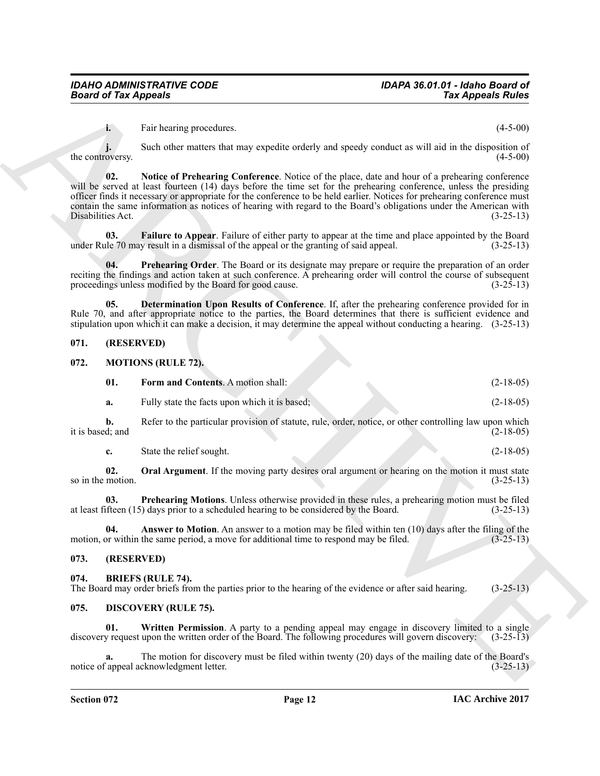<span id="page-11-15"></span>**i.** Fair hearing procedures. (4-5-00)

**j.** Such other matters that may expedite orderly and speedy conduct as will aid in the disposition of the controversy. (4-5-00)

**Solution Appears** (and the same procedure and the same procedure and the same procedure and the same procedure and the same procedure and the same procedure and the same procedure and the same procedure and the same proc **02. Notice of Prehearing Conference**. Notice of the place, date and hour of a prehearing conference will be served at least fourteen (14) days before the time set for the prehearing conference, unless the presiding officer finds it necessary or appropriate for the conference to be held earlier. Notices for prehearing conference must contain the same information as notices of hearing with regard to the Board's obligations under the American with Disabilities Act. (3-25-13) Disabilities Act.

<span id="page-11-14"></span>**03. Failure to Appear**. Failure of either party to appear at the time and place appointed by the Board le 70 may result in a dismissal of the appeal or the granting of said appeal.  $(3-25-13)$ under Rule 70 may result in a dismissal of the appeal or the granting of said appeal.

<span id="page-11-16"></span>**04. Prehearing Order**. The Board or its designate may prepare or require the preparation of an order reciting the findings and action taken at such conference. A prehearing order will control the course of subsequent proceedings unless modified by the Board for good cause. proceedings unless modified by the Board for good cause.

<span id="page-11-13"></span>**05. Determination Upon Results of Conference**. If, after the prehearing conference provided for in Rule 70, and after appropriate notice to the parties, the Board determines that there is sufficient evidence and stipulation upon which it can make a decision, it may determine the appeal without conducting a hearing. (3-25-13)

#### <span id="page-11-0"></span>**071. (RESERVED)**

#### <span id="page-11-1"></span>**072. MOTIONS (RULE 72).**

<span id="page-11-10"></span><span id="page-11-8"></span>

| 01. | <b>Form and Contents.</b> A motion shall: | $(2-18-05)$ |
|-----|-------------------------------------------|-------------|
|     |                                           |             |

**a.** Fully state the facts upon which it is based; (2-18-05)

**b.** Refer to the particular provision of statute, rule, order, notice, or other controlling law upon which d; and  $(2-18-05)$ it is based; and

<span id="page-11-12"></span><span id="page-11-11"></span>**c.** State the relief sought. (2-18-05)

**02.** Oral Argument. If the moving party desires oral argument or hearing on the motion it must state motion.  $(3-25-13)$ so in the motion.

**03. Prehearing Motions**. Unless otherwise provided in these rules, a prehearing motion must be filed ifteen (15) days prior to a scheduled hearing to be considered by the Board. (3-25-13) at least fifteen  $(15)$  days prior to a scheduled hearing to be considered by the Board.

<span id="page-11-9"></span>**04. Answer to Motion**. An answer to a motion may be filed within ten (10) days after the filing of the priori within the same period, a move for additional time to respond may be filed.  $(3-25-13)$ motion, or within the same period, a move for additional time to respond may be filed.

#### <span id="page-11-2"></span>**073. (RESERVED)**

#### <span id="page-11-5"></span><span id="page-11-3"></span>**074. BRIEFS (RULE 74).** The Board may order briefs from the parties prior to the hearing of the evidence or after said hearing. (3-25-13)

#### <span id="page-11-6"></span><span id="page-11-4"></span>**075. DISCOVERY (RULE 75).**

<span id="page-11-7"></span>**01. Written Permission**. A party to a pending appeal may engage in discovery limited to a single discovery request upon the written order of the Board. The following procedures will govern discovery: (3-25-13)

The motion for discovery must be filed within twenty (20) days of the mailing date of the Board's cknowledgment letter. (3-25-13) notice of appeal acknowledgment letter.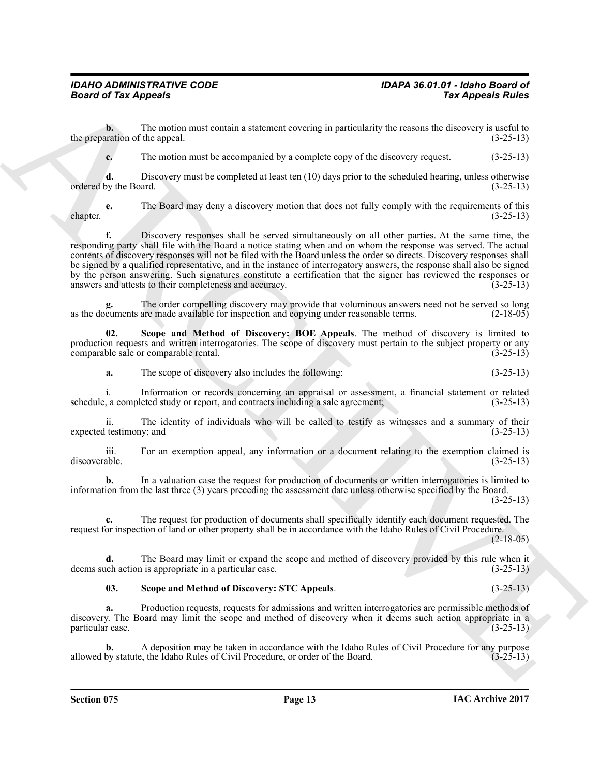**b.** The motion must contain a statement covering in particularity the reasons the discovery is useful to aration of the appeal.  $(3-25-13)$ the preparation of the appeal.

**c.** The motion must be accompanied by a complete copy of the discovery request.  $(3-25-13)$ 

**d.** Discovery must be completed at least ten (10) days prior to the scheduled hearing, unless otherwise over the Board.  $(3-25-13)$ ordered by the Board.

**e.** The Board may deny a discovery motion that does not fully comply with the requirements of this (3-25-13) chapter. (3-25-13)

**Example of Fax Appears Are**  $\sim$  **Fax Appears Are**  $\sim$  **Fax Appears Are**  $\sim$  **Fax Appears Are**  $\sim$  **Fax Appears Are**  $\sim$  **Fax Appears Are**  $\sim$  **Fax Appears Are**  $\sim$  **Fax Appears Are**  $\sim$  **Fax Appears Are**  $\sim$  **Fax Appears Are**  $\sim$ **f.** Discovery responses shall be served simultaneously on all other parties. At the same time, the responding party shall file with the Board a notice stating when and on whom the response was served. The actual contents of discovery responses will not be filed with the Board unless the order so directs. Discovery responses shall be signed by a qualified representative, and in the instance of interrogatory answers, the response shall also be signed by the person answering. Such signatures constitute a certification that the signer has reviewed the responses or answers and attests to their completeness and accuracy. (3-25-13) answers and attests to their completeness and accuracy.

The order compelling discovery may provide that voluminous answers need not be served so long are made available for inspection and copying under reasonable terms. (2-18-05) as the documents are made available for inspection and copying under reasonable terms.

**02. Scope and Method of Discovery: BOE Appeals**. The method of discovery is limited to production requests and written interrogatories. The scope of discovery must pertain to the subject property or any comparable sale or comparable rental. (3-25-13)

<span id="page-12-0"></span>**a.** The scope of discovery also includes the following: (3-25-13)

i. Information or records concerning an appraisal or assessment, a financial statement or related at a completed study or report, and contracts including a sale agreement; (3-25-13) schedule, a completed study or report, and contracts including a sale agreement;

ii. The identity of individuals who will be called to testify as witnesses and a summary of their testimony; and (3-25-13) expected testimony; and

iii. For an exemption appeal, any information or a document relating to the exemption claimed is discoverable. (3-25-13)

**b.** In a valuation case the request for production of documents or written interrogatories is limited to information from the last three (3) years preceding the assessment date unless otherwise specified by the Board. (3-25-13)

**c.** The request for production of documents shall specifically identify each document requested. The request for inspection of land or other property shall be in accordance with the Idaho Rules of Civil Procedure.

 $(2-18-05)$ 

**d.** The Board may limit or expand the scope and method of discovery provided by this rule when it ich action is appropriate in a particular case.  $(3-25-13)$ deems such action is appropriate in a particular case.

#### <span id="page-12-1"></span>**03. Scope and Method of Discovery: STC Appeals**. (3-25-13)

**a.** Production requests, requests for admissions and written interrogatories are permissible methods of discovery. The Board may limit the scope and method of discovery when it deems such action appropriate in a particular case. (3-25-13) particular case.

**b.** A deposition may be taken in accordance with the Idaho Rules of Civil Procedure for any purpose by statute, the Idaho Rules of Civil Procedure, or order of the Board. (3-25-13) allowed by statute, the Idaho Rules of Civil Procedure, or order of the Board.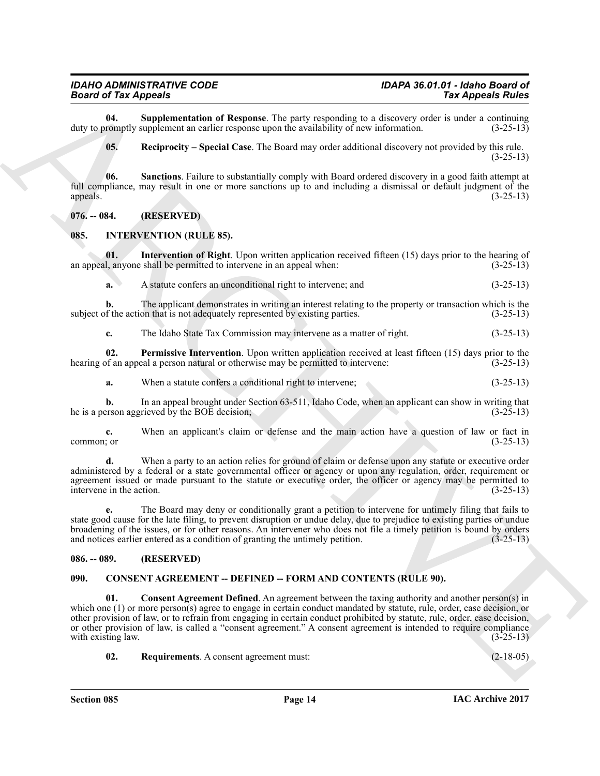**04.** Supplementation of Response. The party responding to a discovery order is under a continuing romptly supplement an earlier response upon the availability of new information. (3-25-13) duty to promptly supplement an earlier response upon the availability of new information.

<span id="page-13-9"></span><span id="page-13-8"></span><span id="page-13-7"></span>**05. Reciprocity – Special Case**. The Board may order additional discovery not provided by this rule.  $(3-25-13)$ 

**06. Sanctions**. Failure to substantially comply with Board ordered discovery in a good faith attempt at full compliance, may result in one or more sanctions up to and including a dismissal or default judgment of the appeals. (3-25-13) appeals.  $(3-25-13)$ 

<span id="page-13-0"></span>**076. -- 084. (RESERVED)**

#### <span id="page-13-10"></span><span id="page-13-1"></span>**085. INTERVENTION (RULE 85).**

**01.** Intervention of Right. Upon written application received fifteen (15) days prior to the hearing of an appeal, anyone shall be permitted to intervene in an appeal when: (3-25-13)

<span id="page-13-11"></span>**a.** A statute confers an unconditional right to intervene; and  $(3-25-13)$ 

**b.** The applicant demonstrates in writing an interest relating to the property or transaction which is the of the action that is not adequately represented by existing parties.  $(3-25-13)$ subject of the action that is not adequately represented by existing parties.

<span id="page-13-12"></span>**c.** The Idaho State Tax Commission may intervene as a matter of right. (3-25-13)

**02.** Permissive Intervention. Upon written application received at least fifteen (15) days prior to the of an appeal a person natural or otherwise may be permitted to intervene: (3-25-13) hearing of an appeal a person natural or otherwise may be permitted to intervene:

**a.** When a statute confers a conditional right to intervene;  $(3-25-13)$ 

**b.** In an appeal brought under Section 63-511, Idaho Code, when an applicant can show in writing that erson aggrieved by the BOE decision:  $(3-25-13)$ he is a person aggrieved by the BOE decision;

**c.** When an applicant's claim or defense and the main action have a question of law or fact in  $\epsilon$  (3-25-13)  $(3-25-13)$ 

**d.** When a party to an action relies for ground of claim or defense upon any statute or executive order administered by a federal or a state governmental officer or agency or upon any regulation, order, requirement or agreement issued or made pursuant to the statute or executive order, the officer or agency may be permitted to intervene in the action. (3-25-13)

**e.** The Board may deny or conditionally grant a petition to intervene for untimely filing that fails to state good cause for the late filing, to prevent disruption or undue delay, due to prejudice to existing parties or undue broadening of the issues, or for other reasons. An intervener who does not file a timely petition is bound by orders and notices earlier entered as a condition of granting the untimely petition.

#### <span id="page-13-2"></span>**086. -- 089. (RESERVED)**

#### <span id="page-13-5"></span><span id="page-13-4"></span><span id="page-13-3"></span>**090. CONSENT AGREEMENT -- DEFINED -- FORM AND CONTENTS (RULE 90).**

**Example in Appendix Constraint of Reporting the Law September 2014 (September 2014 (September 2014 (September 2014 (September 2014 (September 2014 (September 2014 (September 2014 (September 2014 (September 2014 (Septembe 01.** Consent Agreement Defined. An agreement between the taxing authority and another person(s) in which one (1) or more person(s) agree to engage in certain conduct mandated by statute, rule, order, case decision, or other provision of law, or to refrain from engaging in certain conduct prohibited by statute, rule, order, case decision, or other provision of law, is called a "consent agreement." A consent agreement is intended to require compliance with existing law. (3-25-13)

<span id="page-13-6"></span>**02. Requirements**. A consent agreement must: (2-18-05)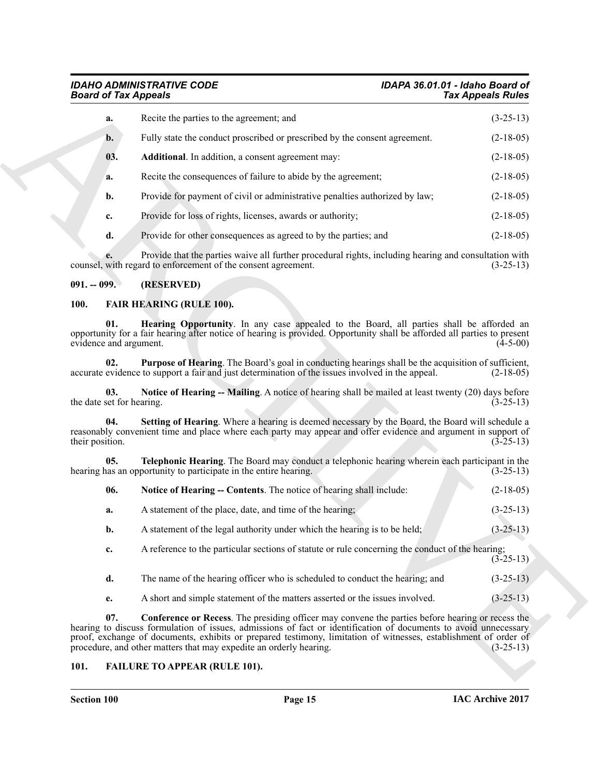# <span id="page-14-3"></span>*Board of Tax Appeals*

# *IDAHO ADMINISTRATIVE CODE IDAPA 36.01.01 - Idaho Board of*

| <b>Board of Tax Appeals</b>      |                                                                                                                                                                                                                                                                                                                                                                                                                        | <b>Tax Appeals Rules</b> |
|----------------------------------|------------------------------------------------------------------------------------------------------------------------------------------------------------------------------------------------------------------------------------------------------------------------------------------------------------------------------------------------------------------------------------------------------------------------|--------------------------|
| a.                               | Recite the parties to the agreement; and                                                                                                                                                                                                                                                                                                                                                                               | $(3-25-13)$              |
| b.                               | Fully state the conduct proscribed or prescribed by the consent agreement.                                                                                                                                                                                                                                                                                                                                             | $(2-18-05)$              |
| 03.                              | Additional. In addition, a consent agreement may:                                                                                                                                                                                                                                                                                                                                                                      | $(2-18-05)$              |
| a.                               | Recite the consequences of failure to abide by the agreement;                                                                                                                                                                                                                                                                                                                                                          | $(2-18-05)$              |
| b.                               | Provide for payment of civil or administrative penalties authorized by law;                                                                                                                                                                                                                                                                                                                                            | $(2-18-05)$              |
| c.                               | Provide for loss of rights, licenses, awards or authority;                                                                                                                                                                                                                                                                                                                                                             | $(2-18-05)$              |
| d.                               | Provide for other consequences as agreed to by the parties; and                                                                                                                                                                                                                                                                                                                                                        | $(2-18-05)$              |
| e.                               | Provide that the parties waive all further procedural rights, including hearing and consultation with<br>counsel, with regard to enforcement of the consent agreement.                                                                                                                                                                                                                                                 | $(3-25-13)$              |
| $091. - 099.$                    | (RESERVED)                                                                                                                                                                                                                                                                                                                                                                                                             |                          |
| <b>100.</b>                      | <b>FAIR HEARING (RULE 100).</b>                                                                                                                                                                                                                                                                                                                                                                                        |                          |
| 01.<br>evidence and argument.    | Hearing Opportunity. In any case appealed to the Board, all parties shall be afforded an<br>opportunity for a fair hearing after notice of hearing is provided. Opportunity shall be afforded all parties to present                                                                                                                                                                                                   | $(4-5-00)$               |
| 02.                              | <b>Purpose of Hearing</b> . The Board's goal in conducting hearings shall be the acquisition of sufficient,<br>accurate evidence to support a fair and just determination of the issues involved in the appeal.                                                                                                                                                                                                        | $(2-18-05)$              |
| 03.<br>the date set for hearing. | Notice of Hearing -- Mailing. A notice of hearing shall be mailed at least twenty (20) days before                                                                                                                                                                                                                                                                                                                     | $(3-25-13)$              |
| 04.<br>their position.           | Setting of Hearing. Where a hearing is deemed necessary by the Board, the Board will schedule a<br>reasonably convenient time and place where each party may appear and offer evidence and argument in support of                                                                                                                                                                                                      | $(3-25-13)$              |
| 05.                              | Telephonic Hearing. The Board may conduct a telephonic hearing wherein each participant in the<br>hearing has an opportunity to participate in the entire hearing.                                                                                                                                                                                                                                                     | $(3-25-13)$              |
| 06.                              | Notice of Hearing -- Contents. The notice of hearing shall include:                                                                                                                                                                                                                                                                                                                                                    | $(2-18-05)$              |
| a.                               | A statement of the place, date, and time of the hearing;                                                                                                                                                                                                                                                                                                                                                               | $(3-25-13)$              |
| b.                               | A statement of the legal authority under which the hearing is to be held;                                                                                                                                                                                                                                                                                                                                              | $(3-25-13)$              |
| c.                               | A reference to the particular sections of statute or rule concerning the conduct of the hearing;                                                                                                                                                                                                                                                                                                                       | $(3-25-13)$              |
| d.                               | The name of the hearing officer who is scheduled to conduct the hearing; and                                                                                                                                                                                                                                                                                                                                           | $(3-25-13)$              |
| e.                               | A short and simple statement of the matters asserted or the issues involved.                                                                                                                                                                                                                                                                                                                                           | $(3-25-13)$              |
| 07.                              | <b>Conference or Recess</b> . The presiding officer may convene the parties before hearing or recess the<br>hearing to discuss formulation of issues, admissions of fact or identification of documents to avoid unnecessary<br>proof, exchange of documents, exhibits or prepared testimony, limitation of witnesses, establishment of order of<br>procedure, and other matters that may expedite an orderly hearing. | $(3-25-13)$              |
|                                  |                                                                                                                                                                                                                                                                                                                                                                                                                        |                          |

#### <span id="page-14-0"></span>**091. -- 099. (RESERVED)**

#### <span id="page-14-10"></span><span id="page-14-9"></span><span id="page-14-7"></span><span id="page-14-5"></span><span id="page-14-1"></span>**100. FAIR HEARING (RULE 100).**

<span id="page-14-12"></span><span id="page-14-11"></span><span id="page-14-8"></span>

| 06.            | Notice of Hearing -- Contents. The notice of hearing shall include:                              | $(2-18-05)$ |
|----------------|--------------------------------------------------------------------------------------------------|-------------|
| а.             | A statement of the place, date, and time of the hearing;                                         | $(3-25-13)$ |
| $\mathbf{b}$ . | A statement of the legal authority under which the hearing is to be held;                        | $(3-25-13)$ |
| c.             | A reference to the particular sections of statute or rule concerning the conduct of the hearing; |             |

- **d.** The name of the hearing officer who is scheduled to conduct the hearing; and  $(3-25-13)$
- 
- <span id="page-14-6"></span>**e.** A short and simple statement of the matters asserted or the issues involved.  $(3-25-13)$

#### <span id="page-14-4"></span><span id="page-14-2"></span>**101. FAILURE TO APPEAR (RULE 101).**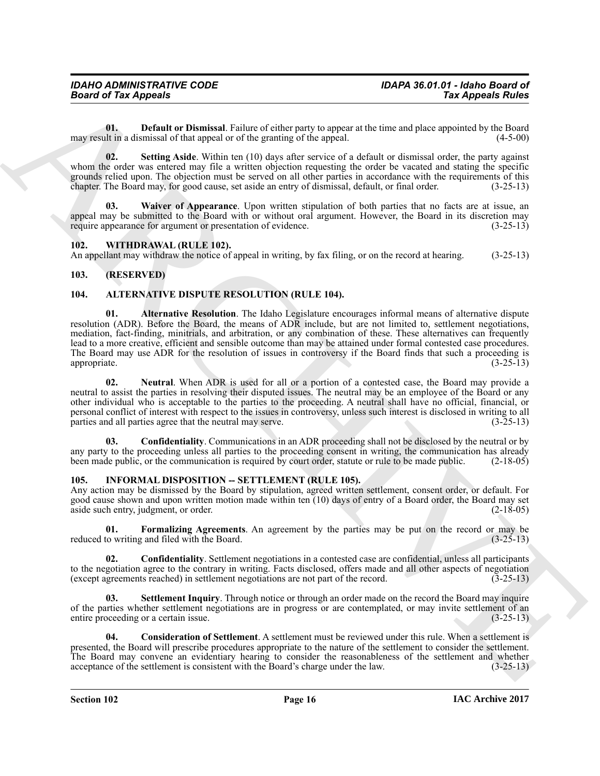<span id="page-15-8"></span>**01. Default or Dismissal**. Failure of either party to appear at the time and place appointed by the Board lit in a dismissal of that appeal or of the granting of the appeal. (4-5-00) may result in a dismissal of that appeal or of the granting of the appeal.

<span id="page-15-9"></span>**02. Setting Aside**. Within ten (10) days after service of a default or dismissal order, the party against whom the order was entered may file a written objection requesting the order be vacated and stating the specific grounds relied upon. The objection must be served on all other parties in accordance with the requirements of this chapter. The Board may, for good cause, set aside an entry of dismissal, default, or final order. (3-25-13)

<span id="page-15-10"></span>**Waiver of Appearance**. Upon written stipulation of both parties that no facts are at issue, an appeal may be submitted to the Board with or without oral argument. However, the Board in its discretion may require appearance for argument or presentation of evidence. (3-25-13) require appearance for argument or presentation of evidence.

#### <span id="page-15-16"></span><span id="page-15-0"></span>**102. WITHDRAWAL (RULE 102).**

An appellant may withdraw the notice of appeal in writing, by fax filing, or on the record at hearing. (3-25-13)

#### <span id="page-15-1"></span>**103. (RESERVED)**

#### <span id="page-15-5"></span><span id="page-15-4"></span><span id="page-15-2"></span>**104. ALTERNATIVE DISPUTE RESOLUTION (RULE 104).**

For all photos of the solution of College and the solution of the solution of the solution of the solution of the solution of the solution of the solution of the solution of the solution of the solution of the solution of **01. Alternative Resolution**. The Idaho Legislature encourages informal means of alternative dispute resolution (ADR). Before the Board, the means of ADR include, but are not limited to, settlement negotiations, mediation, fact-finding, minitrials, and arbitration, or any combination of these. These alternatives can frequently lead to a more creative, efficient and sensible outcome than may be attained under formal contested case procedures. The Board may use ADR for the resolution of issues in controversy if the Board finds that such a proceeding is appropriate.  $(3-25-13)$ appropriate. (3-25-13)

<span id="page-15-7"></span>**02. Neutral**. When ADR is used for all or a portion of a contested case, the Board may provide a neutral to assist the parties in resolving their disputed issues. The neutral may be an employee of the Board or any other individual who is acceptable to the parties to the proceeding. A neutral shall have no official, financial, or personal conflict of interest with respect to the issues in controversy, unless such interest is disclosed in writing to all parties and all parties agree that the neutral may serve.  $(3-25-13)$ parties and all parties agree that the neutral may serve.

<span id="page-15-6"></span>**03. Confidentiality**. Communications in an ADR proceeding shall not be disclosed by the neutral or by any party to the proceeding unless all parties to the proceeding consent in writing, the communication has already been made public, or the communication is required by court order, statute or rule to be made public. (2-18 been made public, or the communication is required by court order, statute or rule to be made public.

#### <span id="page-15-11"></span><span id="page-15-3"></span>105. INFORMAL DISPOSITION -- SETTLEMENT (RULE 105).

Any action may be dismissed by the Board by stipulation, agreed written settlement, consent order, or default. For good cause shown and upon written motion made within ten (10) days of entry of a Board order, the Board may set aside such entry, judgment, or order. (2-18-05) aside such entry, judgment, or order.

<span id="page-15-14"></span>**01. Formalizing Agreements**. An agreement by the parties may be put on the record or may be to writing and filed with the Board. (3-25-13) reduced to writing and filed with the Board.

<span id="page-15-12"></span>**02. Confidentiality**. Settlement negotiations in a contested case are confidential, unless all participants to the negotiation agree to the contrary in writing. Facts disclosed, offers made and all other aspects of negotiation (except agreements reached) in settlement negotiations are not part of the record. (3-25-13)

<span id="page-15-15"></span>**Settlement Inquiry**. Through notice or through an order made on the record the Board may inquire of the parties whether settlement negotiations are in progress or are contemplated, or may invite settlement of an entire proceeding or a certain issue. (3-25-13)

<span id="page-15-13"></span>**04. Consideration of Settlement**. A settlement must be reviewed under this rule. When a settlement is presented, the Board will prescribe procedures appropriate to the nature of the settlement to consider the settlement. The Board may convene an evidentiary hearing to consider the reasonableness of the settlement and whether acceptance of the settlement is consistent with the Board's charge under the law. (3-25-13)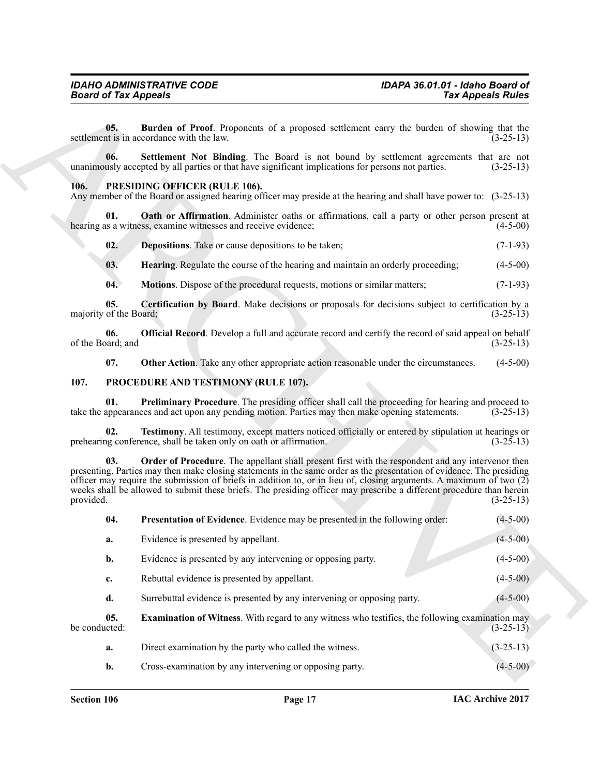#### <span id="page-16-9"></span><span id="page-16-8"></span><span id="page-16-7"></span><span id="page-16-6"></span><span id="page-16-4"></span><span id="page-16-3"></span><span id="page-16-2"></span><span id="page-16-0"></span>**106. PRESIDING OFFICER (RULE 106).**

#### <span id="page-16-17"></span><span id="page-16-16"></span><span id="page-16-15"></span><span id="page-16-14"></span><span id="page-16-13"></span><span id="page-16-12"></span><span id="page-16-11"></span><span id="page-16-10"></span><span id="page-16-5"></span><span id="page-16-1"></span>**107. PROCEDURE AND TESTIMONY (RULE 107).**

| <b>Board of Tax Appeals</b>   |                                                                                                                                                                                                                                                                                                                                                                                                                                                                             | <b>Tax Appeals Rules</b> |
|-------------------------------|-----------------------------------------------------------------------------------------------------------------------------------------------------------------------------------------------------------------------------------------------------------------------------------------------------------------------------------------------------------------------------------------------------------------------------------------------------------------------------|--------------------------|
| 05.                           | Burden of Proof. Proponents of a proposed settlement carry the burden of showing that the<br>settlement is in accordance with the law.                                                                                                                                                                                                                                                                                                                                      | $(3-25-13)$              |
| 06.                           | Settlement Not Binding. The Board is not bound by settlement agreements that are not<br>unanimously accepted by all parties or that have significant implications for persons not parties.                                                                                                                                                                                                                                                                                  | $(3-25-13)$              |
| 106.                          | PRESIDING OFFICER (RULE 106).<br>Any member of the Board or assigned hearing officer may preside at the hearing and shall have power to: (3-25-13)                                                                                                                                                                                                                                                                                                                          |                          |
| 01.                           | <b>Oath or Affirmation.</b> Administer oaths or affirmations, call a party or other person present at<br>hearing as a witness, examine witnesses and receive evidence;                                                                                                                                                                                                                                                                                                      | $(4-5-00)$               |
| 02.                           | <b>Depositions</b> . Take or cause depositions to be taken;                                                                                                                                                                                                                                                                                                                                                                                                                 | $(7-1-93)$               |
| 03.                           | <b>Hearing.</b> Regulate the course of the hearing and maintain an orderly proceeding;                                                                                                                                                                                                                                                                                                                                                                                      | $(4-5-00)$               |
| 04.                           | Motions. Dispose of the procedural requests, motions or similar matters;                                                                                                                                                                                                                                                                                                                                                                                                    | $(7-1-93)$               |
| 05.<br>majority of the Board; | <b>Certification by Board.</b> Make decisions or proposals for decisions subject to certification by a                                                                                                                                                                                                                                                                                                                                                                      | $(3-25-13)$              |
| 06.<br>of the Board; and      | <b>Official Record</b> . Develop a full and accurate record and certify the record of said appeal on behalf                                                                                                                                                                                                                                                                                                                                                                 | $(3-25-13)$              |
| 07.                           | Other Action. Take any other appropriate action reasonable under the circumstances.                                                                                                                                                                                                                                                                                                                                                                                         | $(4-5-00)$               |
| 107.                          | PROCEDURE AND TESTIMONY (RULE 107).                                                                                                                                                                                                                                                                                                                                                                                                                                         |                          |
| 01.                           | <b>Preliminary Procedure</b> . The presiding officer shall call the proceeding for hearing and proceed to<br>take the appearances and act upon any pending motion. Parties may then make opening statements.                                                                                                                                                                                                                                                                | $(3-25-13)$              |
| 02.                           | Testimony. All testimony, except matters noticed officially or entered by stipulation at hearings or<br>prehearing conference, shall be taken only on oath or affirmation.                                                                                                                                                                                                                                                                                                  | $(3-25-13)$              |
| 03.<br>provided.              | Order of Procedure. The appellant shall present first with the respondent and any intervenor then<br>presenting. Parties may then make closing statements in the same order as the presentation of evidence. The presiding<br>officer may require the submission of briefs in addition to, or in lieu of, closing arguments. A maximum of two $(2)$<br>weeks shall be allowed to submit these briefs. The presiding officer may prescribe a different procedure than herein | $(3-25-13)$              |
| 04.                           | <b>Presentation of Evidence.</b> Evidence may be presented in the following order:                                                                                                                                                                                                                                                                                                                                                                                          | $(4 - 5 - 00)$           |
| a.                            | Evidence is presented by appellant.                                                                                                                                                                                                                                                                                                                                                                                                                                         | $(4 - 5 - 00)$           |
| b.                            | Evidence is presented by any intervening or opposing party.                                                                                                                                                                                                                                                                                                                                                                                                                 | $(4-5-00)$               |
| c.                            | Rebuttal evidence is presented by appellant.                                                                                                                                                                                                                                                                                                                                                                                                                                | $(4-5-00)$               |
| d.                            | Surrebuttal evidence is presented by any intervening or opposing party.                                                                                                                                                                                                                                                                                                                                                                                                     | $(4-5-00)$               |
| 05.<br>be conducted:          | <b>Examination of Witness.</b> With regard to any witness who testifies, the following examination may                                                                                                                                                                                                                                                                                                                                                                      | $(3-25-13)$              |
| a.                            | Direct examination by the party who called the witness.                                                                                                                                                                                                                                                                                                                                                                                                                     | $(3-25-13)$              |
| b.                            | Cross-examination by any intervening or opposing party.                                                                                                                                                                                                                                                                                                                                                                                                                     | $(4-5-00)$               |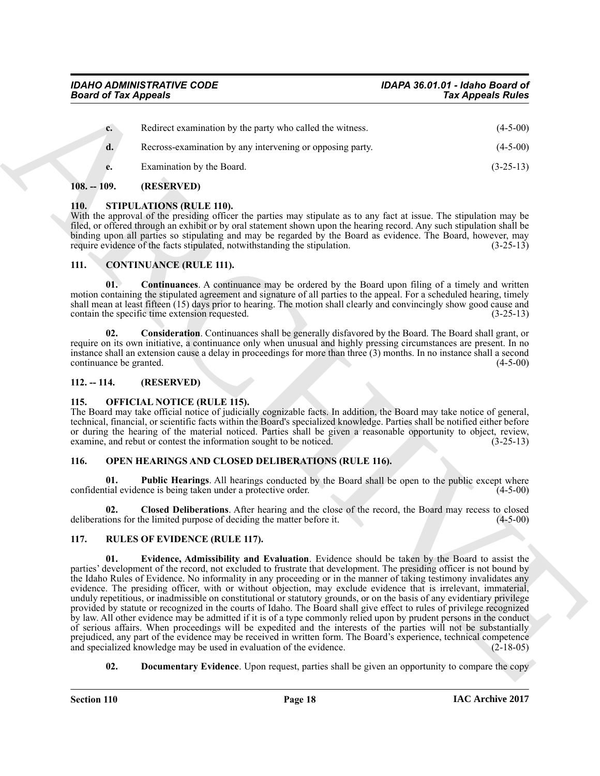| $c_{\cdot}$ | Redirect examination by the party who called the witness. | $(4-5-00)$  |
|-------------|-----------------------------------------------------------|-------------|
| d.          | Recross-examination by any intervening or opposing party. | $(4-5-00)$  |
| e.          | Examination by the Board.                                 | $(3-25-13)$ |

#### <span id="page-17-0"></span>**108. -- 109. (RESERVED)**

#### <span id="page-17-17"></span><span id="page-17-1"></span>**110. STIPULATIONS (RULE 110).**

With the approval of the presiding officer the parties may stipulate as to any fact at issue. The stipulation may be filed, or offered through an exhibit or by oral statement shown upon the hearing record. Any such stipulation shall be binding upon all parties so stipulating and may be regarded by the Board as evidence. The Board, however, may require evidence of the facts stipulated, notwithstanding the stipulation. (3-25-13) require evidence of the facts stipulated, notwithstanding the stipulation.

#### <span id="page-17-7"></span><span id="page-17-2"></span>**111. CONTINUANCE (RULE 111).**

<span id="page-17-9"></span>**01. Continuances**. A continuance may be ordered by the Board upon filing of a timely and written motion containing the stipulated agreement and signature of all parties to the appeal. For a scheduled hearing, timely shall mean at least fifteen (15) days prior to hearing. The motion shall clearly and convincingly show good cause and contain the specific time extension requested. (3-25-13)

<span id="page-17-8"></span>**02. Consideration**. Continuances shall be generally disfavored by the Board. The Board shall grant, or require on its own initiative, a continuance only when unusual and highly pressing circumstances are present. In no instance shall an extension cause a delay in proceedings for more than three (3) months. In no instance shall a second continuance be granted.

#### <span id="page-17-3"></span>**112. -- 114. (RESERVED)**

#### <span id="page-17-10"></span><span id="page-17-4"></span>**115. OFFICIAL NOTICE (RULE 115).**

The Board may take official notice of judicially cognizable facts. In addition, the Board may take notice of general, technical, financial, or scientific facts within the Board's specialized knowledge. Parties shall be notified either before or during the hearing of the material noticed. Parties shall be given a reasonable opportunity to object, review, examine, and rebut or contest the information sought to be noticed. (3-25-13)

#### <span id="page-17-11"></span><span id="page-17-5"></span>**116. OPEN HEARINGS AND CLOSED DELIBERATIONS (RULE 116).**

<span id="page-17-13"></span>**01. Public Hearings**. All hearings conducted by the Board shall be open to the public except where confidential evidence is being taken under a protective order. (4-5-00)

<span id="page-17-12"></span>**02. Closed Deliberations**. After hearing and the close of the record, the Board may recess to closed deliberations for the limited purpose of deciding the matter before it. (4-5-00)

#### <span id="page-17-16"></span><span id="page-17-14"></span><span id="page-17-6"></span>**117. RULES OF EVIDENCE (RULE 117).**

**Solution Appeals** (a) (4-1 or Appeals (a) (4-1 or Appeals (a) (4-1 or Appeals Roles<br>
Conclusion communication by the party value conclusion and the values (4-1 or Appeals Roles<br>
Conclusion and the state of the state of t **01. Evidence, Admissibility and Evaluation**. Evidence should be taken by the Board to assist the parties' development of the record, not excluded to frustrate that development. The presiding officer is not bound by the Idaho Rules of Evidence. No informality in any proceeding or in the manner of taking testimony invalidates any evidence. The presiding officer, with or without objection, may exclude evidence that is irrelevant, immaterial, unduly repetitious, or inadmissible on constitutional or statutory grounds, or on the basis of any evidentiary privilege provided by statute or recognized in the courts of Idaho. The Board shall give effect to rules of privilege recognized by law. All other evidence may be admitted if it is of a type commonly relied upon by prudent persons in the conduct of serious affairs. When proceedings will be expedited and the interests of the parties will not be substantially prejudiced, any part of the evidence may be received in written form. The Board's experience, technical competence and specialized knowledge may be used in evaluation of the evidence. (2-18-05) and specialized knowledge may be used in evaluation of the evidence.

<span id="page-17-15"></span>**02. Documentary Evidence**. Upon request, parties shall be given an opportunity to compare the copy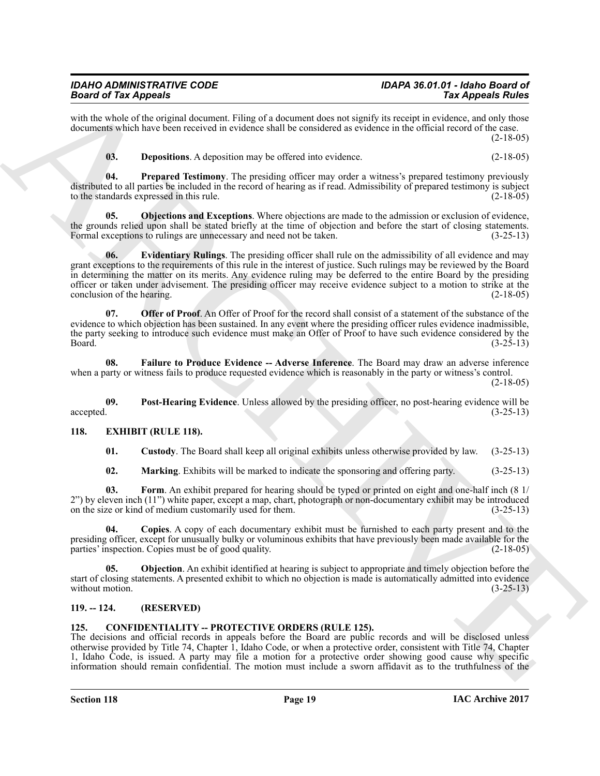#### *IDAHO ADMINISTRATIVE CODE IDAPA 36.01.01 - Idaho Board of Board of Tax Appeals*

with the whole of the original document. Filing of a document does not signify its receipt in evidence, and only those documents which have been received in evidence shall be considered as evidence in the official record of the case.  $(2-18-05)$ 

<span id="page-18-16"></span><span id="page-18-13"></span><span id="page-18-10"></span>**03. Depositions**. A deposition may be offered into evidence. (2-18-05)

**04. Prepared Testimony**. The presiding officer may order a witness's prepared testimony previously distributed to all parties be included in the record of hearing as if read. Admissibility of prepared testimony is subject to the standards expressed in this rule. (2-18-05)

<span id="page-18-11"></span>**05. Objections and Exceptions**. Where objections are made to the admission or exclusion of evidence, the grounds relied upon shall be stated briefly at the time of objection and before the start of closing statements.<br>Formal exceptions to rulings are unnecessary and need not be taken. (3-25-13) Formal exceptions to rulings are unnecessary and need not be taken.

**Solution** of the *ARCHIV* CHIRE and the state of the state of the state of the state of the state of the state of the state of the state of the state of the state of the state of the state of the state of the state of th **06. Evidentiary Rulings**. The presiding officer shall rule on the admissibility of all evidence and may grant exceptions to the requirements of this rule in the interest of justice. Such rulings may be reviewed by the Board in determining the matter on its merits. Any evidence ruling may be deferred to the entire Board by the presiding officer or taken under advisement. The presiding officer may receive evidence subject to a motion to strike at the conclusion of the hearing. (2-18-05) (2-18-05)

<span id="page-18-14"></span>**07. Offer of Proof**. An Offer of Proof for the record shall consist of a statement of the substance of the evidence to which objection has been sustained. In any event where the presiding officer rules evidence inadmissible, the party seeking to introduce such evidence must make an Offer of Proof to have such evidence considered by the<br>(3-25-13)  $Board.$  (3-25-13)

<span id="page-18-12"></span>**08. Failure to Produce Evidence -- Adverse Inference**. The Board may draw an adverse inference when a party or witness fails to produce requested evidence which is reasonably in the party or witness's control. (2-18-05)

**09.** Post-Hearing Evidence. Unless allowed by the presiding officer, no post-hearing evidence will be accepted.  $(3-25-13)$ accepted. (3-25-13)

#### <span id="page-18-0"></span>**118. EXHIBIT (RULE 118).**

<span id="page-18-15"></span><span id="page-18-6"></span><span id="page-18-4"></span>**01. Custody**. The Board shall keep all original exhibits unless otherwise provided by law. (3-25-13)

<span id="page-18-8"></span><span id="page-18-7"></span><span id="page-18-5"></span>**02. Marking**. Exhibits will be marked to indicate the sponsoring and offering party. (3-25-13)

**03. Form**. An exhibit prepared for hearing should be typed or printed on eight and one-half inch (8 1/ 2") by eleven inch (11") white paper, except a map, chart, photograph or non-documentary exhibit may be introduced on the size or kind of medium customarily used for them. on the size or kind of medium customarily used for them.

**04. Copies**. A copy of each documentary exhibit must be furnished to each party present and to the presiding officer, except for unusually bulky or voluminous exhibits that have previously been made available for the parties' inspection. Copies must be of good quality. (2-18-05) parties' inspection. Copies must be of good quality.

<span id="page-18-9"></span>**05. Objection**. An exhibit identified at hearing is subject to appropriate and timely objection before the start of closing statements. A presented exhibit to which no objection is made is automatically admitted into evidence without motion. (3-25-13) without motion.

#### <span id="page-18-3"></span><span id="page-18-1"></span>**119. -- 124. (RESERVED)**

#### <span id="page-18-2"></span>**125. CONFIDENTIALITY -- PROTECTIVE ORDERS (RULE 125).**

The decisions and official records in appeals before the Board are public records and will be disclosed unless otherwise provided by Title 74, Chapter 1, Idaho Code, or when a protective order, consistent with Title 74, Chapter 1, Idaho Code, is issued. A party may file a motion for a protective order showing good cause why specific information should remain confidential. The motion must include a sworn affidavit as to the truthfulness of the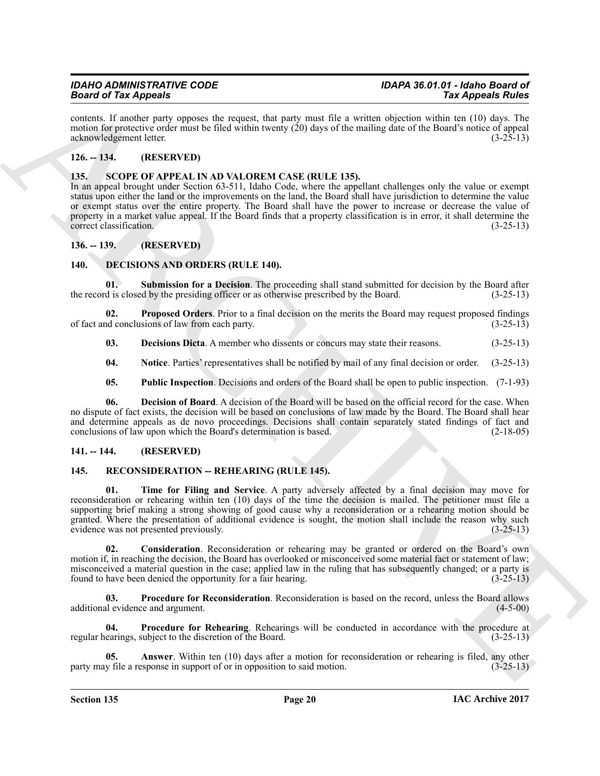contents. If another party opposes the request, that party must file a written objection within ten (10) days. The motion for protective order must be filed within twenty (20) days of the mailing date of the Board's notice of appeal<br>(3-25-13) acknowledgement letter.

### <span id="page-19-0"></span>**126. -- 134. (RESERVED)**

#### <span id="page-19-19"></span><span id="page-19-1"></span>**135. SCOPE OF APPEAL IN AD VALOREM CASE (RULE 135).**

In an appeal brought under Section 63-511, Idaho Code, where the appellant challenges only the value or exempt status upon either the land or the improvements on the land, the Board shall have jurisdiction to determine the value or exempt status over the entire property. The Board shall have the power to increase or decrease the value of property in a market value appeal. If the Board finds that a property classification is in error, it shall determine the correct classification. (3-25-13) correct classification.

#### <span id="page-19-2"></span>**136. -- 139. (RESERVED)**

#### <span id="page-19-6"></span><span id="page-19-3"></span>**140. DECISIONS AND ORDERS (RULE 140).**

<span id="page-19-12"></span>**Submission for a Decision**. The proceeding shall stand submitted for decision by the Board after the record is closed by the presiding officer or as otherwise prescribed by the Board. (3-25-13)

**02.** Proposed Orders. Prior to a final decision on the merits the Board may request proposed findings nd conclusions of law from each party. of fact and conclusions of law from each party.

<span id="page-19-10"></span><span id="page-19-8"></span>**03. Decisions Dicta**. A member who dissents or concurs may state their reasons. (3-25-13)

<span id="page-19-9"></span>**04.** Notice. Parties' representatives shall be notified by mail of any final decision or order. (3-25-13)

<span id="page-19-11"></span><span id="page-19-7"></span>**05. Public Inspection**. Decisions and orders of the Board shall be open to public inspection. (7-1-93)

**06. Decision of Board**. A decision of the Board will be based on the official record for the case. When no dispute of fact exists, the decision will be based on conclusions of law made by the Board. The Board shall hear and determine appeals as de novo proceedings. Decisions shall contain separately stated findings of fact and conclusions of law upon which the Board's determination is based. (2-18-05) conclusions of law upon which the Board's determination is based.

#### <span id="page-19-4"></span>**141. -- 144. (RESERVED)**

#### <span id="page-19-18"></span><span id="page-19-13"></span><span id="page-19-5"></span>145. RECONSIDERATION -- REHEARING (RULE 145).

ARCHIVE **01. Time for Filing and Service**. A party adversely affected by a final decision may move for reconsideration or rehearing within ten (10) days of the time the decision is mailed. The petitioner must file a supporting brief making a strong showing of good cause why a reconsideration or a rehearing motion should be granted. Where the presentation of additional evidence is sought, the motion shall include the reason why such evidence was not presented previously. (3-25-13)

<span id="page-19-15"></span>**02. Consideration**. Reconsideration or rehearing may be granted or ordered on the Board's own motion if, in reaching the decision, the Board has overlooked or misconceived some material fact or statement of law; misconceived a material question in the case; applied law in the ruling that has subsequently changed; or a party is found to have been denied the opportunity for a fair hearing. (3-25-13)

<span id="page-19-16"></span>**03.** Procedure for Reconsideration. Reconsideration is based on the record, unless the Board allows is evidence and argument. (4-5-00) additional evidence and argument.

<span id="page-19-17"></span>**04.** Procedure for Rehearing. Rehearings will be conducted in accordance with the procedure at earings, subject to the discretion of the Board. (3-25-13) regular hearings, subject to the discretion of the Board.

<span id="page-19-14"></span>**Answer**. Within ten (10) days after a motion for reconsideration or rehearing is filed, any other esponse in support of or in opposition to said motion. (3-25-13) party may file a response in support of or in opposition to said motion.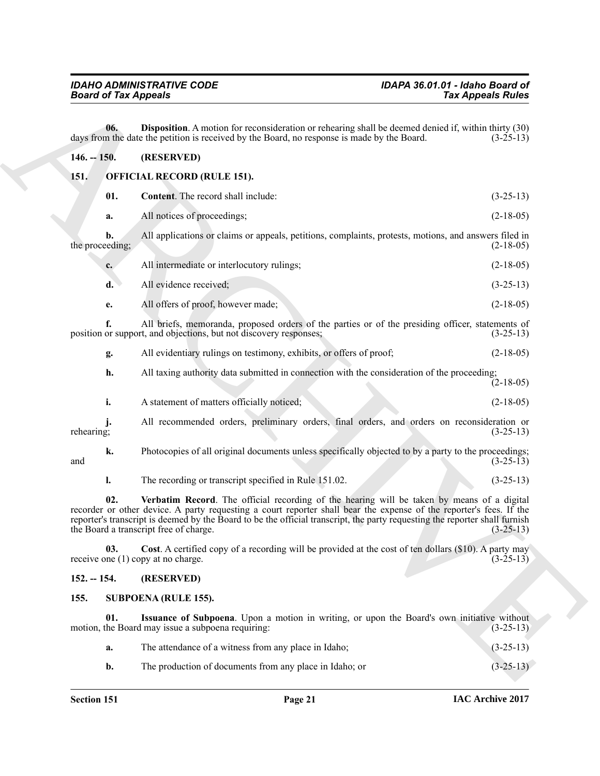<span id="page-20-10"></span><span id="page-20-9"></span><span id="page-20-8"></span><span id="page-20-7"></span><span id="page-20-6"></span><span id="page-20-5"></span><span id="page-20-4"></span><span id="page-20-3"></span><span id="page-20-2"></span><span id="page-20-1"></span><span id="page-20-0"></span>

|                                     | <b>Board of Tax Appeals</b> |                                                                                                                                                                                                                                                                                                                                                                                            | <b>Tax Appeals Rules</b> |  |
|-------------------------------------|-----------------------------|--------------------------------------------------------------------------------------------------------------------------------------------------------------------------------------------------------------------------------------------------------------------------------------------------------------------------------------------------------------------------------------------|--------------------------|--|
|                                     | 06.                         | <b>Disposition</b> . A motion for reconsideration or rehearing shall be deemed denied if, within thirty (30)<br>days from the date the petition is received by the Board, no response is made by the Board.                                                                                                                                                                                | $(3-25-13)$              |  |
| $146. - 150.$                       |                             | (RESERVED)                                                                                                                                                                                                                                                                                                                                                                                 |                          |  |
| OFFICIAL RECORD (RULE 151).<br>151. |                             |                                                                                                                                                                                                                                                                                                                                                                                            |                          |  |
|                                     | 01.                         | Content. The record shall include:                                                                                                                                                                                                                                                                                                                                                         | $(3-25-13)$              |  |
|                                     | a.                          | All notices of proceedings;                                                                                                                                                                                                                                                                                                                                                                | $(2-18-05)$              |  |
| the proceeding;                     | b.                          | All applications or claims or appeals, petitions, complaints, protests, motions, and answers filed in                                                                                                                                                                                                                                                                                      | $(2-18-05)$              |  |
|                                     | $c_{\cdot}$                 | All intermediate or interlocutory rulings;                                                                                                                                                                                                                                                                                                                                                 | $(2-18-05)$              |  |
|                                     | $\mathbf{d}$ .              | All evidence received;                                                                                                                                                                                                                                                                                                                                                                     | $(3-25-13)$              |  |
|                                     | e.                          | All offers of proof, however made;                                                                                                                                                                                                                                                                                                                                                         | $(2-18-05)$              |  |
|                                     | f.                          | All briefs, memoranda, proposed orders of the parties or of the presiding officer, statements of<br>position or support, and objections, but not discovery responses;                                                                                                                                                                                                                      | $(3-25-13)$              |  |
|                                     | g.                          | All evidentiary rulings on testimony, exhibits, or offers of proof;                                                                                                                                                                                                                                                                                                                        | $(2-18-05)$              |  |
|                                     | h.                          | All taxing authority data submitted in connection with the consideration of the proceeding;                                                                                                                                                                                                                                                                                                | $(2-18-05)$              |  |
|                                     | i.                          | A statement of matters officially noticed;                                                                                                                                                                                                                                                                                                                                                 | $(2-18-05)$              |  |
| rehearing;                          |                             | All recommended orders, preliminary orders, final orders, and orders on reconsideration or                                                                                                                                                                                                                                                                                                 | $(3-25-13)$              |  |
| and                                 | k.                          | Photocopies of all original documents unless specifically objected to by a party to the proceedings;                                                                                                                                                                                                                                                                                       | $(3-25-13)$              |  |
|                                     | l.                          | The recording or transcript specified in Rule 151.02.                                                                                                                                                                                                                                                                                                                                      | $(3-25-13)$              |  |
|                                     | 02.                         | Verbatim Record. The official recording of the hearing will be taken by means of a digital<br>recorder or other device. A party requesting a court reporter shall bear the expense of the reporter's fees. If the<br>reporter's transcript is deemed by the Board to be the official transcript, the party requesting the reporter shall furnish<br>the Board a transcript free of charge. | $(3-25-13)$              |  |
|                                     | 03.                         | Cost. A certified copy of a recording will be provided at the cost of ten dollars (\$10). A party may<br>receive one (1) copy at no charge.                                                                                                                                                                                                                                                | $(3-25-13)$              |  |
| $152. - 154.$                       |                             | (RESERVED)                                                                                                                                                                                                                                                                                                                                                                                 |                          |  |
| 155.                                |                             | <b>SUBPOENA (RULE 155).</b>                                                                                                                                                                                                                                                                                                                                                                |                          |  |
|                                     | 01.                         | Issuance of Subpoena. Upon a motion in writing, or upon the Board's own initiative without<br>motion, the Board may issue a subpoena requiring:                                                                                                                                                                                                                                            | $(3-25-13)$              |  |
|                                     | a.                          | The attendance of a witness from any place in Idaho;                                                                                                                                                                                                                                                                                                                                       | $(3-25-13)$              |  |
|                                     | b.                          | The production of documents from any place in Idaho; or                                                                                                                                                                                                                                                                                                                                    | $(3-25-13)$              |  |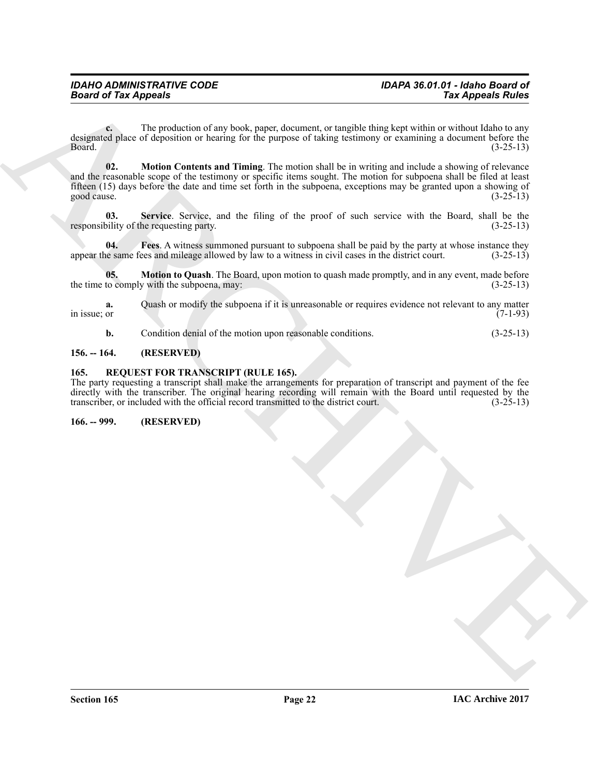<span id="page-21-5"></span>**c.** The production of any book, paper, document, or tangible thing kept within or without Idaho to any designated place of deposition or hearing for the purpose of taking testimony or examining a document before the<br>(3-25-13)  $Board.$  (3-25-13)

**Example 2** The production of the basis and the state of the production of the state of the product of the production of the state of the state of the state of the state of the state of the state of the state of the state **02. Motion Contents and Timing**. The motion shall be in writing and include a showing of relevance and the reasonable scope of the testimony or specific items sought. The motion for subpoena shall be filed at least fifteen (15) days before the date and time set forth in the subpoena, exceptions may be granted upon a showing of good cause.  $(3-25-13)$ 

<span id="page-21-7"></span>**03.** Service. Service, and the filing of the proof of such service with the Board, shall be the oility of the requesting party. (3-25-13) responsibility of the requesting party.

<span id="page-21-4"></span>**04. Fees**. A witness summoned pursuant to subpoena shall be paid by the party at whose instance they appear the same fees and mileage allowed by law to a witness in civil cases in the district court. (3-25-13)

**05. Motion to Quash**. The Board, upon motion to quash made promptly, and in any event, made before to comply with the subpoena, may:  $(3-25-13)$ the time to comply with the subpoena, may:

**a.** Quash or modify the subpoena if it is unreasonable or requires evidence not relevant to any matter or in issue; or  $(7-1-93)$ 

<span id="page-21-6"></span><span id="page-21-3"></span>**b.** Condition denial of the motion upon reasonable conditions. (3-25-13)

#### <span id="page-21-0"></span>**156. -- 164. (RESERVED)**

#### <span id="page-21-1"></span>**165. REQUEST FOR TRANSCRIPT (RULE 165).**

The party requesting a transcript shall make the arrangements for preparation of transcript and payment of the fee directly with the transcriber. The original hearing recording will remain with the Board until requested by the transcriber, or included with the official record transmitted to the district court. (3-25-13) transcriber, or included with the official record transmitted to the district court.

<span id="page-21-2"></span>**166. -- 999. (RESERVED)**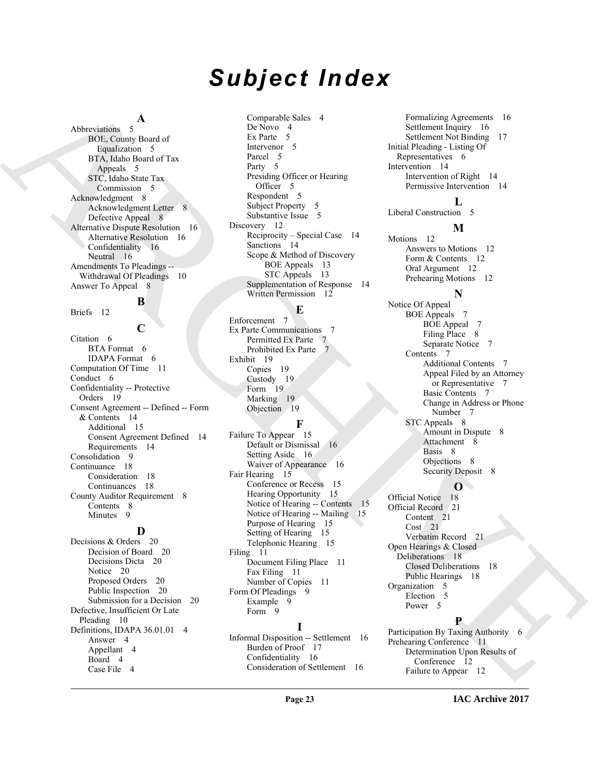# *Subject Index*

### **A**

Abbreviations 5 BOE, County Board of Equalization 5 BTA, Idaho Board of Tax Appeals 5 STC, Idaho State Tax Commission 5 Acknowledgment 8 Acknowledgment Letter 8 Defective Appeal 8 Alternative Dispute Resolution 16 Alternative Resolution 16 Confidentiality 16 Neutral 16 Amendments To Pleadings -- Withdrawal Of Pleadings 10 Answer To Appeal 8

# **B**

Briefs 12

[A](#page-4-8)[RC](#page-9-3)[H](#page-6-8)[I](#page-7-13)T[E](#page-11-13)CTURE A Company of the state of the state of the state of the state of the state of the state of the state of the state of the state of the state of the state of the state of the state of the state of the state of **C** Citation 6 BTA Format 6 IDAPA Format 6 Computation Of Time 11 Conduct 6 Confidentiality -- Protective Orders 19 Consent Agreement -- Defined -- Form & Contents 14 Additional 15 Consent Agreement Defined 14 Requirements 14 Consolidation 9 Continuance 18 Consideration 18 Continuances 18 County Auditor Requirement 8 Contents 8 Minutes<sub>9</sub>

#### **D**

Decisions & Orders 20 Decision of Board 20 Decisions Dicta 20 Notice 20 Proposed Orders 20 Public Inspection 20 Submission for a Decision 20 Defective, Insufficient Or Late Pleading 10 Definitions, IDAPA 36.01.01 4 Answer 4 Appellant 4 Board 4 Case File 4

Comparable Sales 4 De Novo 4 Ex Parte 5 Intervenor 5 Parcel 5 Party 5 Presiding Officer or Hearing Officer 5 Respondent 5 Subject Property 5 Substantive Issue 5 Discovery 12 Reciprocity – Special Case 14 Sanctions 14 Scope & Method of Discovery BOE Appeals 13 STC Appeals 13 Supplementation of Response 14 Written Permission 12

#### **E**

Enforcement 7 Ex Parte Communications 7 Permitted Ex Parte 7 Prohibited Ex Parte 7 Exhibit 19 Copies 19 Custody 19 Form 19 Marking 19 Objection 19

### **F**

Failure To Appear 15 Default or Dismissal 16 Setting Aside 16 Waiver of Appearance 16 Fair Hearing 15 Conference or Recess 15 Hearing Opportunity 15 Notice of Hearing -- Contents 15 Notice of Hearing -- Mailing 15 Purpose of Hearing 15 Setting of Hearing 15 Telephonic Hearing 15 Filing 11 Document Filing Place 11 Fax Filing 11 Number of Copies 11 Form Of Pleadings 9 Example 9 Form 9 **I**

Informal Disposition -- Settlement 16 Burden of Proof 17 Confidentiality 16 Consideration of Settlement 16

Formalizing Agreements 16 Settlement Inquiry 16 Settlement Not Binding 17 Initial Pleading - Listing Of Representatives 6 Intervention 14 Intervention of Right 14 Permissive Intervention 14

#### **L**

Liberal Construction 5

### **M**

Motions 12 Answers to Motions 12 Form & Contents 12 Oral Argument 12 Prehearing Motions 12

**N** Notice Of Appeal BOE Appeals 7 BOE Appeal 7 Filing Place 8 Separate Notice 7 Contents 7 Additional Contents 7 Appeal Filed by an Attorney or Representative 7 Basic Contents 7 Change in Address or Phone Number 7 STC Appeals 8 Amount in Dispute 8 Attachment 8 Basis 8 Objections 8 Security Deposit 8

### **O**

Official Notice 18 Official Record 21 Content 21 Cost 21 Verbatim Record 21 Open Hearings & Closed Deliberations 18 Closed Deliberations 18 Public Hearings 18 Organization 5 Election 5 Power<sub>5</sub>

## **P**

Participation By Taxing Authority 6 Prehearing Conference 11 Determination Upon Results of Conference 12 Failure to Appear 12